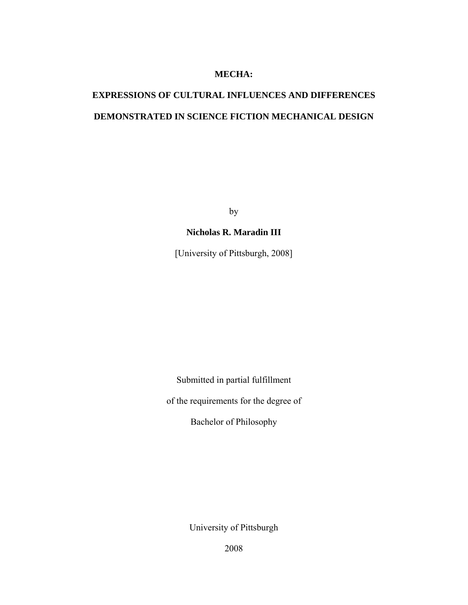### **MECHA:**

# **EXPRESSIONS OF CULTURAL INFLUENCES AND DIFFERENCES DEMONSTRATED IN SCIENCE FICTION MECHANICAL DESIGN**

by

# **Nicholas R. Maradin III**

[University of Pittsburgh, 2008]

Submitted in partial fulfillment

of the requirements for the degree of

Bachelor of Philosophy

University of Pittsburgh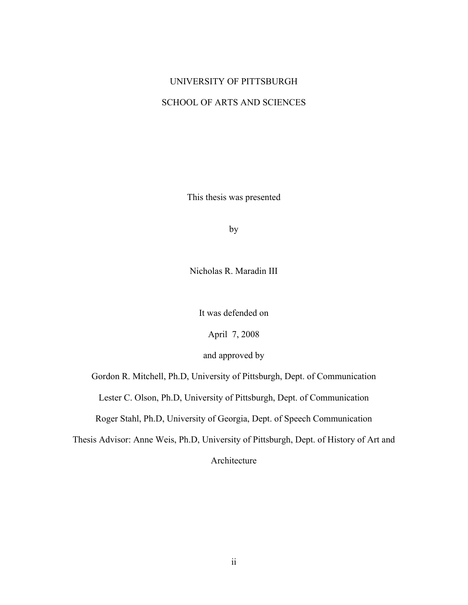# UNIVERSITY OF PITTSBURGH SCHOOL OF ARTS AND SCIENCES

This thesis was presented

by

Nicholas R. Maradin III

It was defended on

April 7, 2008

and approved by

Gordon R. Mitchell, Ph.D, University of Pittsburgh, Dept. of Communication

Lester C. Olson, Ph.D, University of Pittsburgh, Dept. of Communication

Roger Stahl, Ph.D, University of Georgia, Dept. of Speech Communication

Thesis Advisor: Anne Weis, Ph.D, University of Pittsburgh, Dept. of History of Art and

Architecture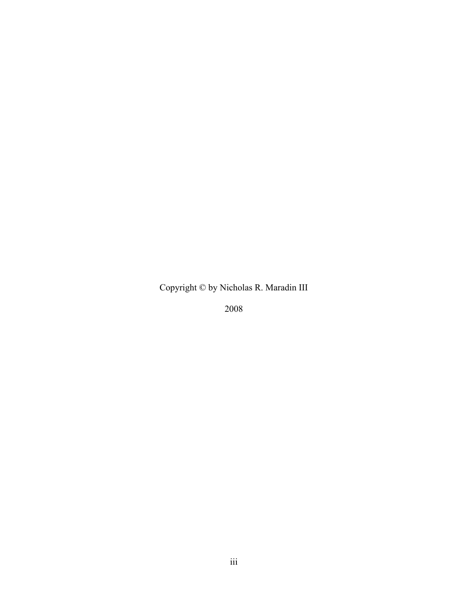Copyright © by Nicholas R. Maradin III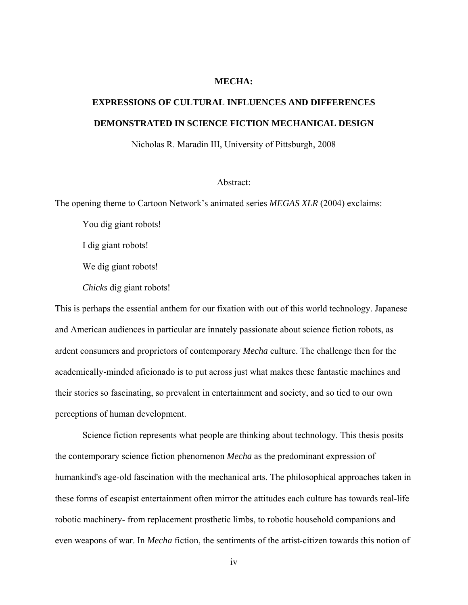#### **MECHA:**

# **EXPRESSIONS OF CULTURAL INFLUENCES AND DIFFERENCES DEMONSTRATED IN SCIENCE FICTION MECHANICAL DESIGN**

Nicholas R. Maradin III, University of Pittsburgh, 2008

#### Abstract:

The opening theme to Cartoon Network's animated series *MEGAS XLR* (2004) exclaims:

You dig giant robots!

I dig giant robots!

We dig giant robots!

*Chicks* dig giant robots!

This is perhaps the essential anthem for our fixation with out of this world technology. Japanese and American audiences in particular are innately passionate about science fiction robots, as ardent consumers and proprietors of contemporary *Mecha* culture. The challenge then for the academically-minded aficionado is to put across just what makes these fantastic machines and their stories so fascinating, so prevalent in entertainment and society, and so tied to our own perceptions of human development.

Science fiction represents what people are thinking about technology. This thesis posits the contemporary science fiction phenomenon *Mecha* as the predominant expression of humankind's age-old fascination with the mechanical arts. The philosophical approaches taken in these forms of escapist entertainment often mirror the attitudes each culture has towards real-life robotic machinery- from replacement prosthetic limbs, to robotic household companions and even weapons of war. In *Mecha* fiction, the sentiments of the artist-citizen towards this notion of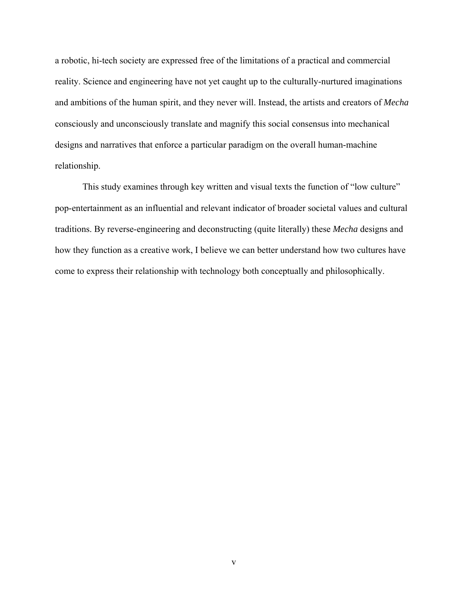a robotic, hi-tech society are expressed free of the limitations of a practical and commercial reality. Science and engineering have not yet caught up to the culturally-nurtured imaginations and ambitions of the human spirit, and they never will. Instead, the artists and creators of *Mecha* consciously and unconsciously translate and magnify this social consensus into mechanical designs and narratives that enforce a particular paradigm on the overall human-machine relationship.

This study examines through key written and visual texts the function of "low culture" pop-entertainment as an influential and relevant indicator of broader societal values and cultural traditions. By reverse-engineering and deconstructing (quite literally) these *Mecha* designs and how they function as a creative work, I believe we can better understand how two cultures have come to express their relationship with technology both conceptually and philosophically.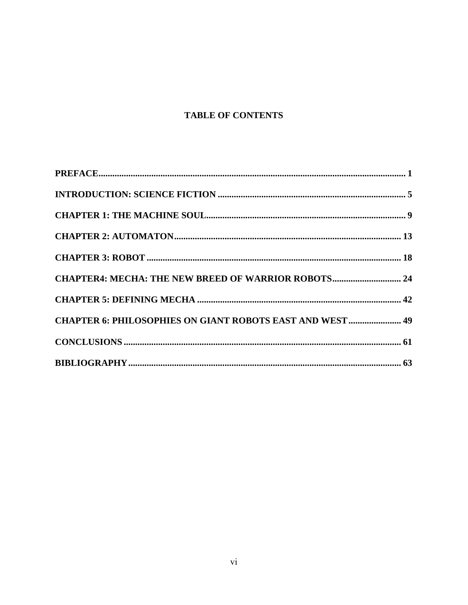# **TABLE OF CONTENTS**

| CHAPTER4: MECHA: THE NEW BREED OF WARRIOR ROBOTS 24              |  |
|------------------------------------------------------------------|--|
|                                                                  |  |
| <b>CHAPTER 6: PHILOSOPHIES ON GIANT ROBOTS EAST AND WEST  49</b> |  |
|                                                                  |  |
|                                                                  |  |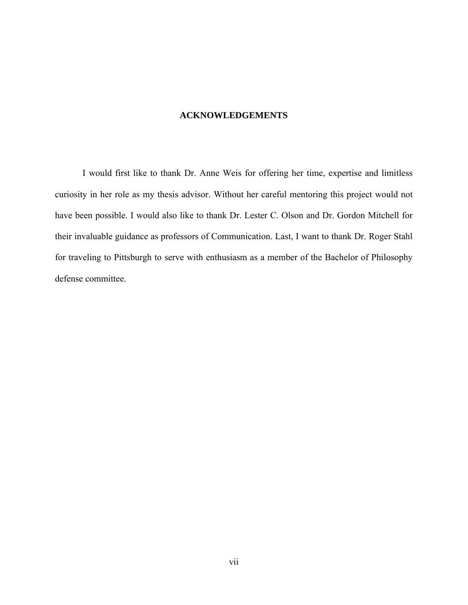### **ACKNOWLEDGEMENTS**

 I would first like to thank Dr. Anne Weis for offering her time, expertise and limitless curiosity in her role as my thesis advisor. Without her careful mentoring this project would not have been possible. I would also like to thank Dr. Lester C. Olson and Dr. Gordon Mitchell for their invaluable guidance as professors of Communication. Last, I want to thank Dr. Roger Stahl for traveling to Pittsburgh to serve with enthusiasm as a member of the Bachelor of Philosophy defense committee.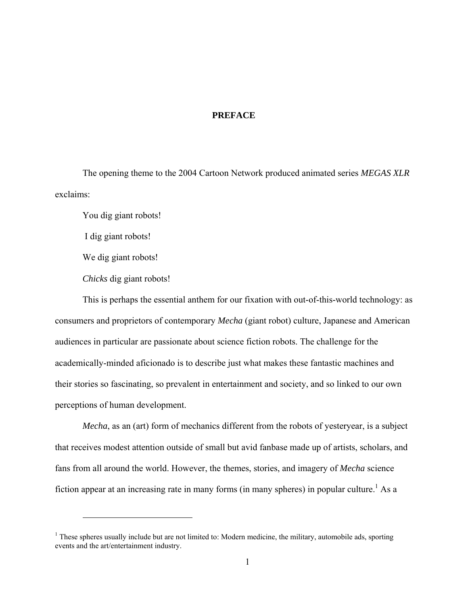#### **PREFACE**

<span id="page-7-0"></span>The opening theme to the 2004 Cartoon Network produced animated series *MEGAS XLR* exclaims:

You dig giant robots!

I dig giant robots!

We dig giant robots!

1

*Chicks* dig giant robots!

This is perhaps the essential anthem for our fixation with out-of-this-world technology: as consumers and proprietors of contemporary *Mecha* (giant robot) culture, Japanese and American audiences in particular are passionate about science fiction robots. The challenge for the academically-minded aficionado is to describe just what makes these fantastic machines and their stories so fascinating, so prevalent in entertainment and society, and so linked to our own perceptions of human development.

*Mecha*, as an (art) form of mechanics different from the robots of yesteryear, is a subject that receives modest attention outside of small but avid fanbase made up of artists, scholars, and fans from all around the world. However, the themes, stories, and imagery of *Mecha* science fiction appear at an increasing rate in many forms (in many spheres) in popular culture.<sup>1</sup> As a

 $<sup>1</sup>$  These spheres usually include but are not limited to: Modern medicine, the military, automobile ads, sporting</sup> events and the art/entertainment industry.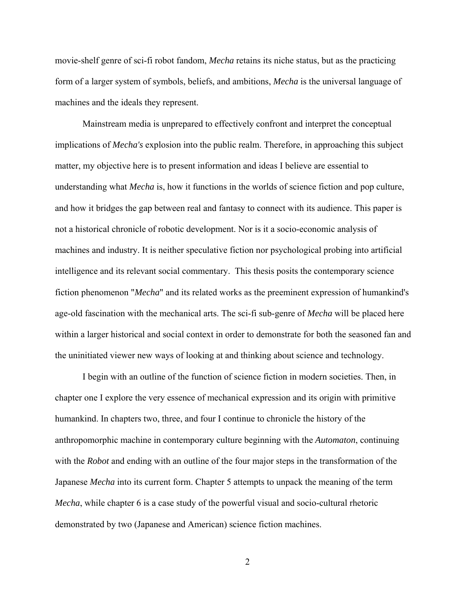movie-shelf genre of sci-fi robot fandom, *Mecha* retains its niche status, but as the practicing form of a larger system of symbols, beliefs, and ambitions, *Mecha* is the universal language of machines and the ideals they represent.

Mainstream media is unprepared to effectively confront and interpret the conceptual implications of *Mecha's* explosion into the public realm. Therefore, in approaching this subject matter, my objective here is to present information and ideas I believe are essential to understanding what *Mecha* is, how it functions in the worlds of science fiction and pop culture, and how it bridges the gap between real and fantasy to connect with its audience. This paper is not a historical chronicle of robotic development. Nor is it a socio-economic analysis of machines and industry. It is neither speculative fiction nor psychological probing into artificial intelligence and its relevant social commentary. This thesis posits the contemporary science fiction phenomenon "*Mecha*" and its related works as the preeminent expression of humankind's age-old fascination with the mechanical arts. The sci-fi sub-genre of *Mecha* will be placed here within a larger historical and social context in order to demonstrate for both the seasoned fan and the uninitiated viewer new ways of looking at and thinking about science and technology.

I begin with an outline of the function of science fiction in modern societies. Then, in chapter one I explore the very essence of mechanical expression and its origin with primitive humankind. In chapters two, three, and four I continue to chronicle the history of the anthropomorphic machine in contemporary culture beginning with the *Automaton*, continuing with the *Robot* and ending with an outline of the four major steps in the transformation of the Japanese *Mecha* into its current form. Chapter 5 attempts to unpack the meaning of the term *Mecha*, while chapter 6 is a case study of the powerful visual and socio-cultural rhetoric demonstrated by two (Japanese and American) science fiction machines.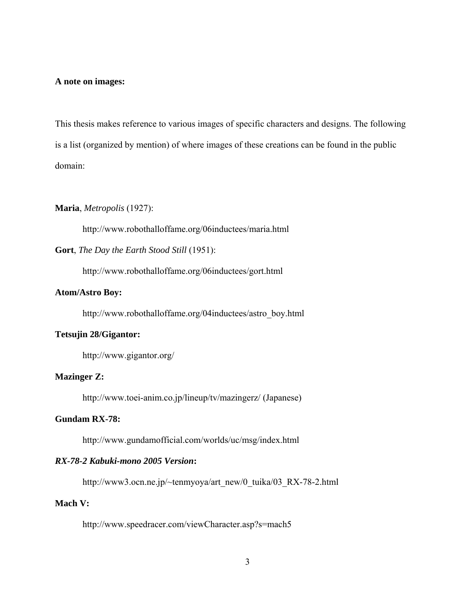#### **A note on images:**

This thesis makes reference to various images of specific characters and designs. The following is a list (organized by mention) of where images of these creations can be found in the public domain:

### **Maria**, *Metropolis* (1927):

http://www.robothalloffame.org/06inductees/maria.html

**Gort**, *The Day the Earth Stood Still* (1951):

http://www.robothalloffame.org/06inductees/gort.html

#### **Atom/Astro Boy:**

http://www.robothalloffame.org/04inductees/astro\_boy.html

## **Tetsujin 28/Gigantor:**

http://www.gigantor.org/

# **Mazinger Z:**

http://www.toei-anim.co.jp/lineup/tv/mazingerz/ (Japanese)

## **Gundam RX-78:**

http://www.gundamofficial.com/worlds/uc/msg/index.html

## *RX-78-2 Kabuki-mono 2005 Version***:**

http://www3.ocn.ne.jp/~tenmyoya/art\_new/0\_tuika/03\_RX-78-2.html

## **Mach V:**

http://www.speedracer.com/viewCharacter.asp?s=mach5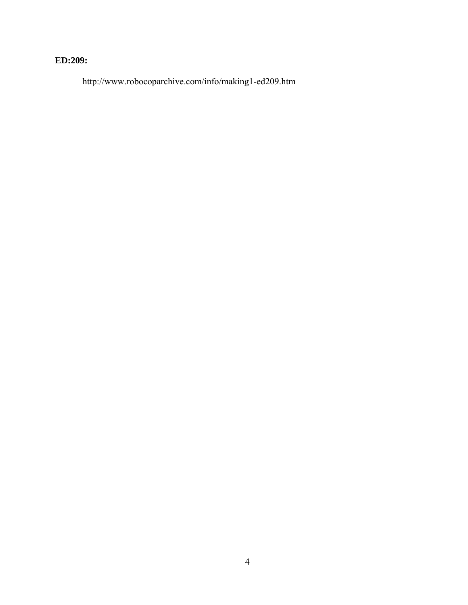# **ED:209:**

http://www.robocoparchive.com/info/making1-ed209.htm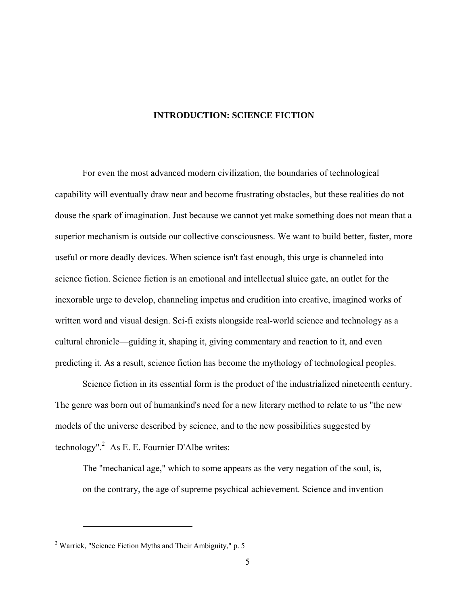#### **INTRODUCTION: SCIENCE FICTION**

<span id="page-11-0"></span>For even the most advanced modern civilization, the boundaries of technological capability will eventually draw near and become frustrating obstacles, but these realities do not douse the spark of imagination. Just because we cannot yet make something does not mean that a superior mechanism is outside our collective consciousness. We want to build better, faster, more useful or more deadly devices. When science isn't fast enough, this urge is channeled into science fiction. Science fiction is an emotional and intellectual sluice gate, an outlet for the inexorable urge to develop, channeling impetus and erudition into creative, imagined works of written word and visual design. Sci-fi exists alongside real-world science and technology as a cultural chronicle—guiding it, shaping it, giving commentary and reaction to it, and even predicting it. As a result, science fiction has become the mythology of technological peoples.

Science fiction in its essential form is the product of the industrialized nineteenth century. The genre was born out of humankind's need for a new literary method to relate to us "the new models of the universe described by science, and to the new possibilities suggested by technology".<sup>2</sup> As E. E. Fournier D'Albe writes:

The "mechanical age," which to some appears as the very negation of the soul, is, on the contrary, the age of supreme psychical achievement. Science and invention

<sup>&</sup>lt;sup>2</sup> Warrick, "Science Fiction Myths and Their Ambiguity," p. 5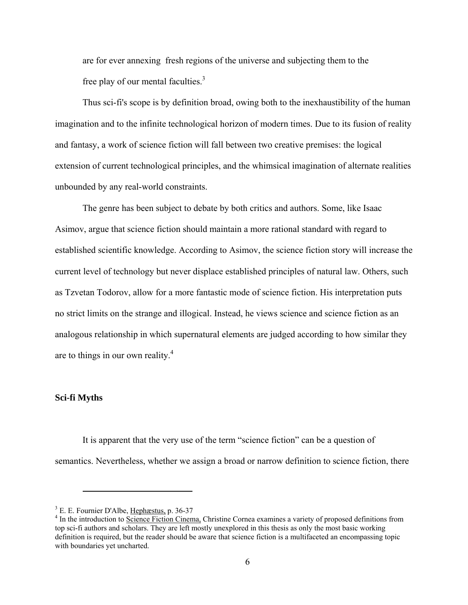are for ever annexing fresh regions of the universe and subjecting them to the free play of our mental faculties. $3$ 

Thus sci-fi's scope is by definition broad, owing both to the inexhaustibility of the human imagination and to the infinite technological horizon of modern times. Due to its fusion of reality and fantasy, a work of science fiction will fall between two creative premises: the logical extension of current technological principles, and the whimsical imagination of alternate realities unbounded by any real-world constraints.

The genre has been subject to debate by both critics and authors. Some, like Isaac Asimov, argue that science fiction should maintain a more rational standard with regard to established scientific knowledge. According to Asimov, the science fiction story will increase the current level of technology but never displace established principles of natural law. Others, such as Tzvetan Todorov, allow for a more fantastic mode of science fiction. His interpretation puts no strict limits on the strange and illogical. Instead, he views science and science fiction as an analogous relationship in which supernatural elements are judged according to how similar they are to things in our own reality. $4$ 

#### **Sci-fi Myths**

1

It is apparent that the very use of the term "science fiction" can be a question of semantics. Nevertheless, whether we assign a broad or narrow definition to science fiction, there

<sup>&</sup>lt;sup>3</sup> E. E. Fournier D'Albe,  $\frac{Hephæstus}{h}$ , p. 36-37

<sup>&</sup>lt;sup>4</sup> In the introduction to Science Fiction Cinema, Christine Cornea examines a variety of proposed definitions from top sci-fi authors and scholars. They are left mostly unexplored in this thesis as only the most basic working definition is required, but the reader should be aware that science fiction is a multifaceted an encompassing topic with boundaries yet uncharted.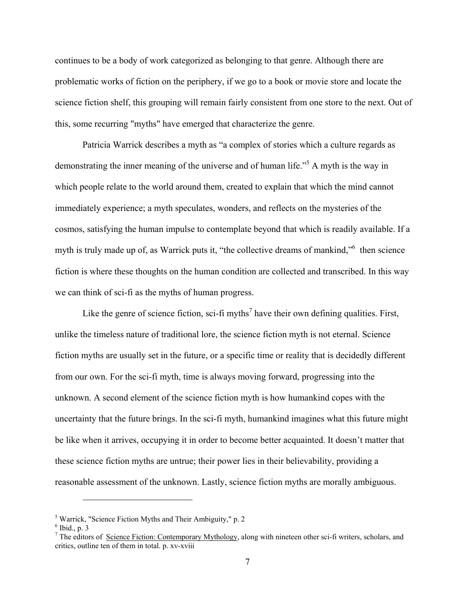continues to be a body of work categorized as belonging to that genre. Although there are problematic works of fiction on the periphery, if we go to a book or movie store and locate the science fiction shelf, this grouping will remain fairly consistent from one store to the next. Out of this, some recurring "myths" have emerged that characterize the genre.

Patricia Warrick describes a myth as "a complex of stories which a culture regards as demonstrating the inner meaning of the universe and of human life."<sup>5</sup> A myth is the way in which people relate to the world around them, created to explain that which the mind cannot immediately experience; a myth speculates, wonders, and reflects on the mysteries of the cosmos, satisfying the human impulse to contemplate beyond that which is readily available. If a myth is truly made up of, as Warrick puts it, "the collective dreams of mankind," then science fiction is where these thoughts on the human condition are collected and transcribed. In this way we can think of sci-fi as the myths of human progress.

Like the genre of science fiction, sci-fi myths<sup>7</sup> have their own defining qualities. First, unlike the timeless nature of traditional lore, the science fiction myth is not eternal. Science fiction myths are usually set in the future, or a specific time or reality that is decidedly different from our own. For the sci-fi myth, time is always moving forward, progressing into the unknown. A second element of the science fiction myth is how humankind copes with the uncertainty that the future brings. In the sci-fi myth, humankind imagines what this future might be like when it arrives, occupying it in order to become better acquainted. It doesn't matter that these science fiction myths are untrue; their power lies in their believability, providing a reasonable assessment of the unknown. Lastly, science fiction myths are morally ambiguous.

<sup>&</sup>lt;sup>5</sup> Warrick, "Science Fiction Myths and Their Ambiguity," p. 2<br><sup>6</sup> Ibid, n. 2

 $6$  Ibid., p. 3

<sup>&</sup>lt;sup>7</sup> The editors of <u>Science Fiction: Contemporary Mythology</u>, along with nineteen other sci-fi writers, scholars, and critics, outline ten of them in total. p. xv-xviii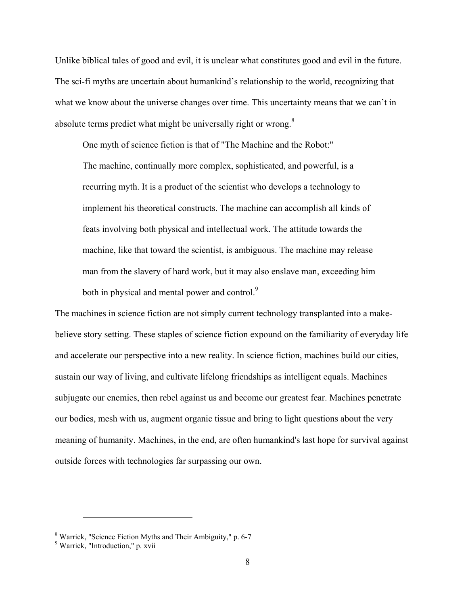Unlike biblical tales of good and evil, it is unclear what constitutes good and evil in the future. The sci-fi myths are uncertain about humankind's relationship to the world, recognizing that what we know about the universe changes over time. This uncertainty means that we can't in absolute terms predict what might be universally right or wrong.<sup>8</sup>

One myth of science fiction is that of "The Machine and the Robot:" The machine, continually more complex, sophisticated, and powerful, is a recurring myth. It is a product of the scientist who develops a technology to implement his theoretical constructs. The machine can accomplish all kinds of feats involving both physical and intellectual work. The attitude towards the machine, like that toward the scientist, is ambiguous. The machine may release man from the slavery of hard work, but it may also enslave man, exceeding him both in physical and mental power and control.<sup>9</sup>

The machines in science fiction are not simply current technology transplanted into a makebelieve story setting. These staples of science fiction expound on the familiarity of everyday life and accelerate our perspective into a new reality. In science fiction, machines build our cities, sustain our way of living, and cultivate lifelong friendships as intelligent equals. Machines subjugate our enemies, then rebel against us and become our greatest fear. Machines penetrate our bodies, mesh with us, augment organic tissue and bring to light questions about the very meaning of humanity. Machines, in the end, are often humankind's last hope for survival against outside forces with technologies far surpassing our own.

 $^8$  Warrick, "Science Fiction Myths and Their Ambiguity," p. 6-7<br><sup>9</sup> Warrick, "Introduction" p. vyij

Warrick, "Introduction," p. xvii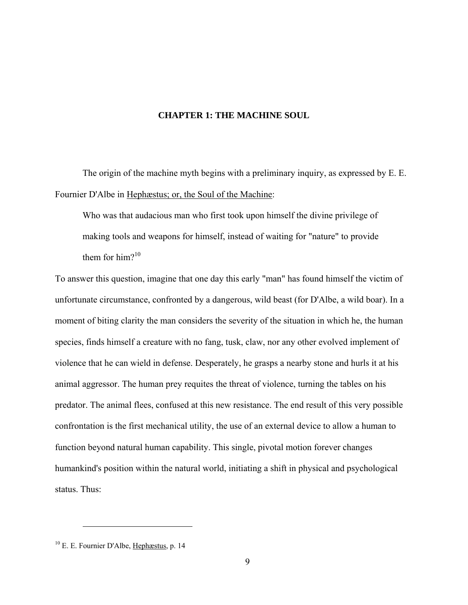#### **CHAPTER 1: THE MACHINE SOUL**

<span id="page-15-0"></span>The origin of the machine myth begins with a preliminary inquiry, as expressed by E. E. Fournier D'Albe in Hephæstus; or, the Soul of the Machine:

 Who was that audacious man who first took upon himself the divine privilege of making tools and weapons for himself, instead of waiting for "nature" to provide them for him? $10$ 

To answer this question, imagine that one day this early "man" has found himself the victim of unfortunate circumstance, confronted by a dangerous, wild beast (for D'Albe, a wild boar). In a moment of biting clarity the man considers the severity of the situation in which he, the human species, finds himself a creature with no fang, tusk, claw, nor any other evolved implement of violence that he can wield in defense. Desperately, he grasps a nearby stone and hurls it at his animal aggressor. The human prey requites the threat of violence, turning the tables on his predator. The animal flees, confused at this new resistance. The end result of this very possible confrontation is the first mechanical utility, the use of an external device to allow a human to function beyond natural human capability. This single, pivotal motion forever changes humankind's position within the natural world, initiating a shift in physical and psychological status. Thus:

<sup>10</sup> E. E. Fournier D'Albe, Hephæstus, p. 14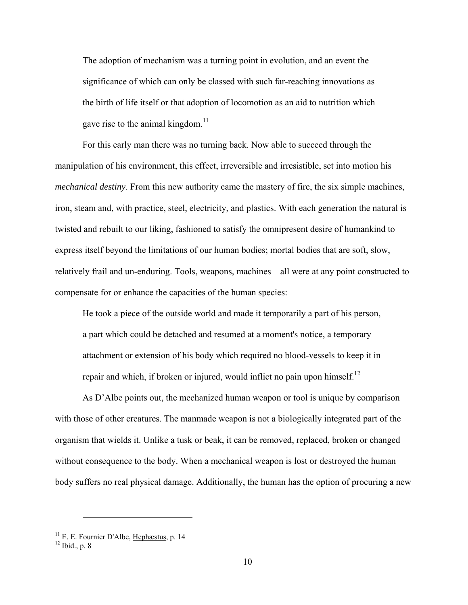The adoption of mechanism was a turning point in evolution, and an event the significance of which can only be classed with such far-reaching innovations as the birth of life itself or that adoption of locomotion as an aid to nutrition which gave rise to the animal kingdom.<sup>11</sup>

For this early man there was no turning back. Now able to succeed through the manipulation of his environment, this effect, irreversible and irresistible, set into motion his *mechanical destiny*. From this new authority came the mastery of fire, the six simple machines, iron, steam and, with practice, steel, electricity, and plastics. With each generation the natural is twisted and rebuilt to our liking, fashioned to satisfy the omnipresent desire of humankind to express itself beyond the limitations of our human bodies; mortal bodies that are soft, slow, relatively frail and un-enduring. Tools, weapons, machines—all were at any point constructed to compensate for or enhance the capacities of the human species:

 He took a piece of the outside world and made it temporarily a part of his person, a part which could be detached and resumed at a moment's notice, a temporary attachment or extension of his body which required no blood-vessels to keep it in repair and which, if broken or injured, would inflict no pain upon himself.<sup>12</sup>

As D'Albe points out, the mechanized human weapon or tool is unique by comparison with those of other creatures. The manmade weapon is not a biologically integrated part of the organism that wields it. Unlike a tusk or beak, it can be removed, replaced, broken or changed without consequence to the body. When a mechanical weapon is lost or destroyed the human body suffers no real physical damage. Additionally, the human has the option of procuring a new

<sup>&</sup>lt;sup>11</sup> E. E. Fournier D'Albe, <u>Hephæstus</u>, p. 14<sup>12</sup> Ibid., p. 8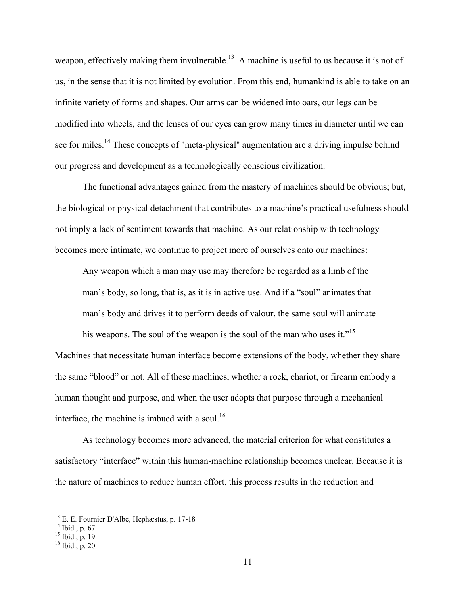weapon, effectively making them invulnerable.<sup>13</sup> A machine is useful to us because it is not of us, in the sense that it is not limited by evolution. From this end, humankind is able to take on an infinite variety of forms and shapes. Our arms can be widened into oars, our legs can be modified into wheels, and the lenses of our eyes can grow many times in diameter until we can see for miles.<sup>14</sup> These concepts of "meta-physical" augmentation are a driving impulse behind our progress and development as a technologically conscious civilization.

The functional advantages gained from the mastery of machines should be obvious; but, the biological or physical detachment that contributes to a machine's practical usefulness should not imply a lack of sentiment towards that machine. As our relationship with technology becomes more intimate, we continue to project more of ourselves onto our machines:

 Any weapon which a man may use may therefore be regarded as a limb of the man's body, so long, that is, as it is in active use. And if a "soul" animates that man's body and drives it to perform deeds of valour, the same soul will animate

his weapons. The soul of the weapon is the soul of the man who uses it."<sup>15</sup> Machines that necessitate human interface become extensions of the body, whether they share the same "blood" or not. All of these machines, whether a rock, chariot, or firearm embody a human thought and purpose, and when the user adopts that purpose through a mechanical interface, the machine is imbued with a soul.<sup>16</sup>

As technology becomes more advanced, the material criterion for what constitutes a satisfactory "interface" within this human-machine relationship becomes unclear. Because it is the nature of machines to reduce human effort, this process results in the reduction and

<sup>&</sup>lt;sup>13</sup> E. E. Fournier D'Albe, <u>Hephæstus</u>, p. 17-18 <sup>14</sup> Ibid., p. 67

 $15$  Ibid., p. 19

 $16$  Ibid., p. 20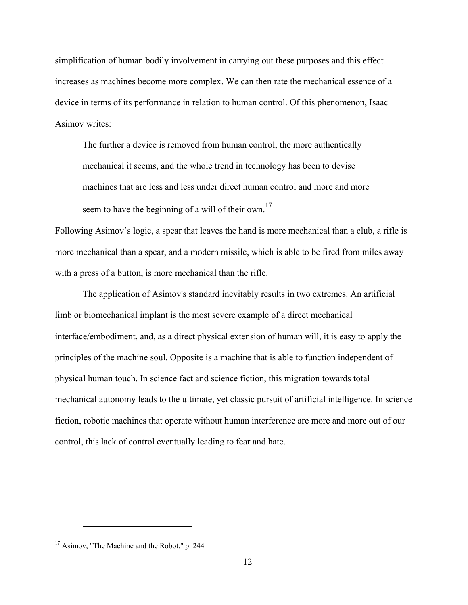simplification of human bodily involvement in carrying out these purposes and this effect increases as machines become more complex. We can then rate the mechanical essence of a device in terms of its performance in relation to human control. Of this phenomenon, Isaac Asimov writes:

The further a device is removed from human control, the more authentically mechanical it seems, and the whole trend in technology has been to devise machines that are less and less under direct human control and more and more seem to have the beginning of a will of their own.<sup>17</sup>

Following Asimov's logic, a spear that leaves the hand is more mechanical than a club, a rifle is more mechanical than a spear, and a modern missile, which is able to be fired from miles away with a press of a button, is more mechanical than the rifle.

The application of Asimov's standard inevitably results in two extremes. An artificial limb or biomechanical implant is the most severe example of a direct mechanical interface/embodiment, and, as a direct physical extension of human will, it is easy to apply the principles of the machine soul. Opposite is a machine that is able to function independent of physical human touch. In science fact and science fiction, this migration towards total mechanical autonomy leads to the ultimate, yet classic pursuit of artificial intelligence. In science fiction, robotic machines that operate without human interference are more and more out of our control, this lack of control eventually leading to fear and hate.

<sup>&</sup>lt;sup>17</sup> Asimov, "The Machine and the Robot," p. 244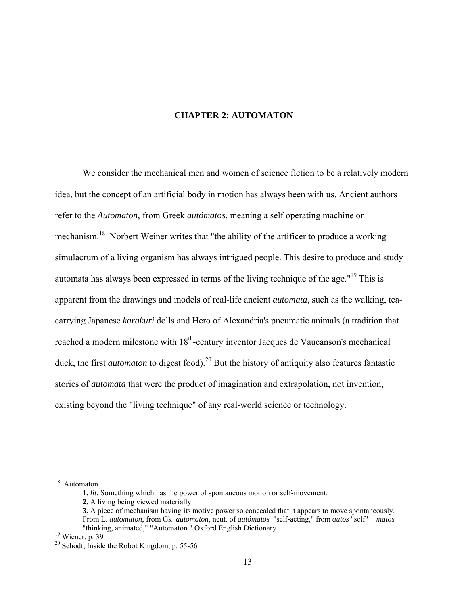#### **CHAPTER 2: AUTOMATON**

<span id="page-19-0"></span>We consider the mechanical men and women of science fiction to be a relatively modern idea, but the concept of an artificial body in motion has always been with us. Ancient authors refer to the *Automaton*, from Greek *autómatos*, meaning a self operating machine or mechanism.<sup>18</sup> Norbert Weiner writes that "the ability of the artificer to produce a working simulacrum of a living organism has always intrigued people. This desire to produce and study automata has always been expressed in terms of the living technique of the age."19 This is apparent from the drawings and models of real-life ancient *automata*, such as the walking, teacarrying Japanese *karakuri* dolls and Hero of Alexandria's pneumatic animals (a tradition that reached a modern milestone with 18<sup>th</sup>-century inventor Jacques de Vaucanson's mechanical duck, the first *automaton* to digest food).<sup>20</sup> But the history of antiquity also features fantastic stories of *automata* that were the product of imagination and extrapolation, not invention, existing beyond the "living technique" of any real-world science or technology.

<sup>18</sup> Automaton

<u>.</u>

 **<sup>1.</sup>** *lit.* Something which has the power of spontaneous motion or self-movement.

 **<sup>2.</sup>** A living being viewed materially.

 **<sup>3.</sup>** A piece of mechanism having its motive power so concealed that it appears to move spontaneously. From L. *automaton*, from Gk. *automaton*, neut. of *autómatos* "self-acting," from *autos* "self" + *matos* "thinking, animated," "Automaton." Oxford English Dictionary

 $19$  Wiener, p. 39

<sup>&</sup>lt;sup>20</sup> Schodt, Inside the Robot Kingdom, p. 55-56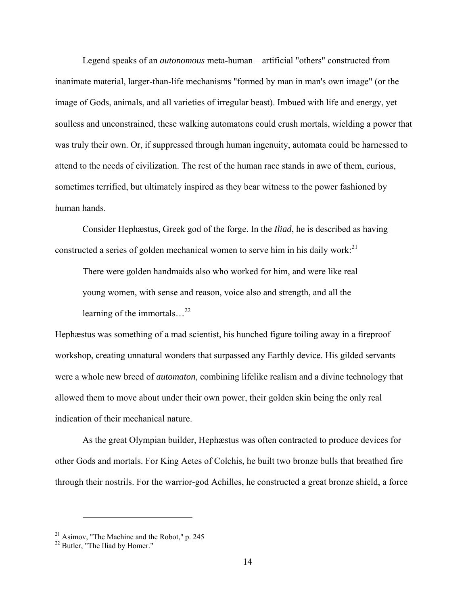Legend speaks of an *autonomous* meta-human—artificial "others" constructed from inanimate material, larger-than-life mechanisms "formed by man in man's own image" (or the image of Gods, animals, and all varieties of irregular beast). Imbued with life and energy, yet soulless and unconstrained, these walking automatons could crush mortals, wielding a power that was truly their own. Or, if suppressed through human ingenuity, automata could be harnessed to attend to the needs of civilization. The rest of the human race stands in awe of them, curious, sometimes terrified, but ultimately inspired as they bear witness to the power fashioned by human hands.

Consider Hephæstus, Greek god of the forge. In the *Iliad*, he is described as having constructed a series of golden mechanical women to serve him in his daily work:<sup>21</sup>

There were golden handmaids also who worked for him, and were like real young women, with sense and reason, voice also and strength, and all the learning of the immortals…22

Hephæstus was something of a mad scientist, his hunched figure toiling away in a fireproof workshop, creating unnatural wonders that surpassed any Earthly device. His gilded servants were a whole new breed of *automaton*, combining lifelike realism and a divine technology that allowed them to move about under their own power, their golden skin being the only real indication of their mechanical nature.

As the great Olympian builder, Hephæstus was often contracted to produce devices for other Gods and mortals. For King Aetes of Colchis, he built two bronze bulls that breathed fire through their nostrils. For the warrior-god Achilles, he constructed a great bronze shield, a force

 $21$  Asimov, "The Machine and the Robot," p. 245

 $22$  Butler, "The Iliad by Homer."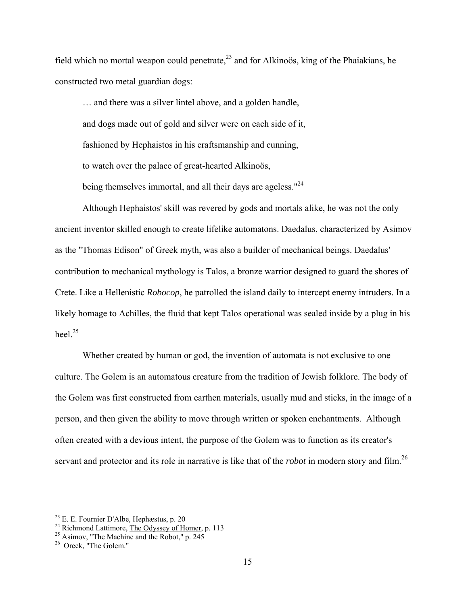field which no mortal weapon could penetrate,<sup>23</sup> and for Alkinoös, king of the Phaiakians, he constructed two metal guardian dogs:

… and there was a silver lintel above, and a golden handle, and dogs made out of gold and silver were on each side of it, fashioned by Hephaistos in his craftsmanship and cunning, to watch over the palace of great-hearted Alkinoös, being themselves immortal, and all their days are ageless." $^{24}$ 

 Although Hephaistos' skill was revered by gods and mortals alike, he was not the only ancient inventor skilled enough to create lifelike automatons. Daedalus, characterized by Asimov as the "Thomas Edison" of Greek myth, was also a builder of mechanical beings. Daedalus' contribution to mechanical mythology is Talos, a bronze warrior designed to guard the shores of Crete. Like a Hellenistic *Robocop*, he patrolled the island daily to intercept enemy intruders. In a likely homage to Achilles, the fluid that kept Talos operational was sealed inside by a plug in his heel $^{25}$ 

 Whether created by human or god, the invention of automata is not exclusive to one culture. The Golem is an automatous creature from the tradition of Jewish folklore. The body of the Golem was first constructed from earthen materials, usually mud and sticks, in the image of a person, and then given the ability to move through written or spoken enchantments. Although often created with a devious intent, the purpose of the Golem was to function as its creator's servant and protector and its role in narrative is like that of the *robot* in modern story and film.<sup>26</sup>

<sup>&</sup>lt;sup>23</sup> E. E. Fournier D'Albe, <u>Hephæstus</u>, p. 20<br><sup>24</sup> Richmond Lattimore, <u>The Odyssey of Homer</u>, p. 113

<sup>25</sup> Asimov, "The Machine and the Robot," p. 245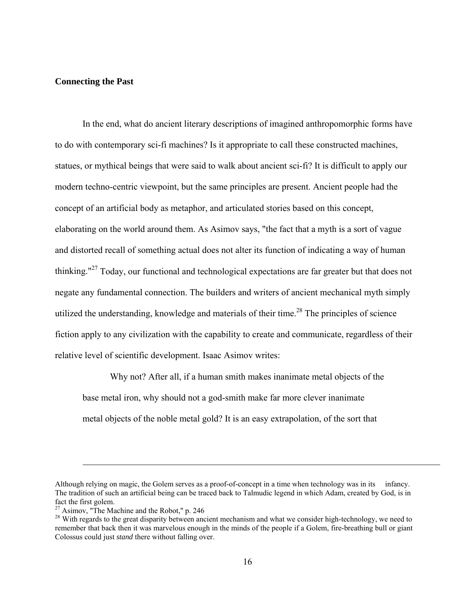#### **Connecting the Past**

In the end, what do ancient literary descriptions of imagined anthropomorphic forms have to do with contemporary sci-fi machines? Is it appropriate to call these constructed machines, statues, or mythical beings that were said to walk about ancient sci-fi? It is difficult to apply our modern techno-centric viewpoint, but the same principles are present. Ancient people had the concept of an artificial body as metaphor, and articulated stories based on this concept, elaborating on the world around them. As Asimov says, "the fact that a myth is a sort of vague and distorted recall of something actual does not alter its function of indicating a way of human thinking."27 Today, our functional and technological expectations are far greater but that does not negate any fundamental connection. The builders and writers of ancient mechanical myth simply utilized the understanding, knowledge and materials of their time.<sup>28</sup> The principles of science fiction apply to any civilization with the capability to create and communicate, regardless of their relative level of scientific development. Isaac Asimov writes:

 Why not? After all, if a human smith makes inanimate metal objects of the base metal iron, why should not a god-smith make far more clever inanimate metal objects of the noble metal gold? It is an easy extrapolation, of the sort that

Although relying on magic, the Golem serves as a proof-of-concept in a time when technology was in its infancy. The tradition of such an artificial being can be traced back to Talmudic legend in which Adam, created by God, is in fact the first golem.

<sup>27</sup> Asimov, "The Machine and the Robot," p. 246

<sup>&</sup>lt;sup>28</sup> With regards to the great disparity between ancient mechanism and what we consider high-technology, we need to remember that back then it was marvelous enough in the minds of the people if a Golem, fire-breathing bull or giant Colossus could just *stand* there without falling over.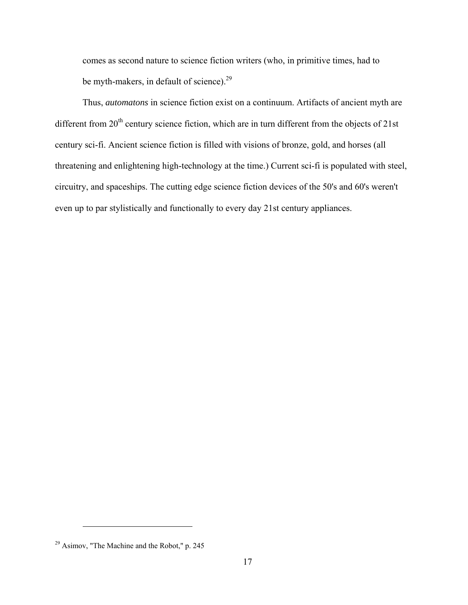comes as second nature to science fiction writers (who, in primitive times, had to be myth-makers, in default of science).<sup>29</sup>

Thus, *automatons* in science fiction exist on a continuum. Artifacts of ancient myth are different from  $20<sup>th</sup>$  century science fiction, which are in turn different from the objects of 21st century sci-fi. Ancient science fiction is filled with visions of bronze, gold, and horses (all threatening and enlightening high-technology at the time.) Current sci-fi is populated with steel, circuitry, and spaceships. The cutting edge science fiction devices of the 50's and 60's weren't even up to par stylistically and functionally to every day 21st century appliances.

<sup>29</sup> Asimov, "The Machine and the Robot," p. 245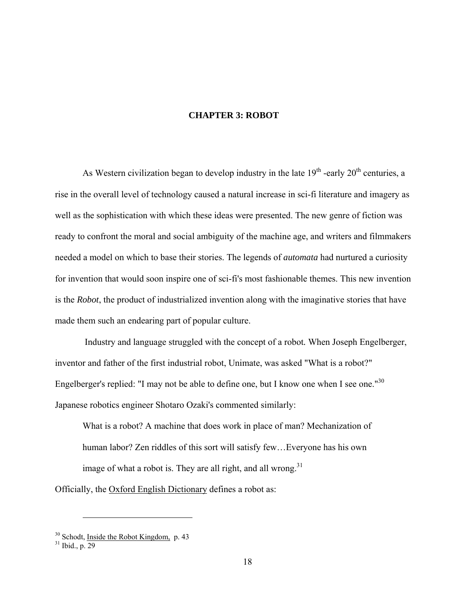#### **CHAPTER 3: ROBOT**

<span id="page-24-0"></span>As Western civilization began to develop industry in the late  $19<sup>th</sup>$  -early  $20<sup>th</sup>$  centuries, a rise in the overall level of technology caused a natural increase in sci-fi literature and imagery as well as the sophistication with which these ideas were presented. The new genre of fiction was ready to confront the moral and social ambiguity of the machine age, and writers and filmmakers needed a model on which to base their stories. The legends of *automata* had nurtured a curiosity for invention that would soon inspire one of sci-fi's most fashionable themes. This new invention is the *Robot*, the product of industrialized invention along with the imaginative stories that have made them such an endearing part of popular culture.

 Industry and language struggled with the concept of a robot*.* When Joseph Engelberger, inventor and father of the first industrial robot, Unimate, was asked "What is a robot?" Engelberger's replied: "I may not be able to define one, but I know one when I see one."<sup>30</sup> Japanese robotics engineer Shotaro Ozaki's commented similarly:

What is a robot? A machine that does work in place of man? Mechanization of human labor? Zen riddles of this sort will satisfy few…Everyone has his own image of what a robot is. They are all right, and all wrong.<sup>31</sup>

Officially, the Oxford English Dictionary defines a robot as:

<sup>&</sup>lt;sup>30</sup> Schodt, <u>Inside the Robot Kingdom</u>, p. 43<sup>31</sup> Ibid., p. 29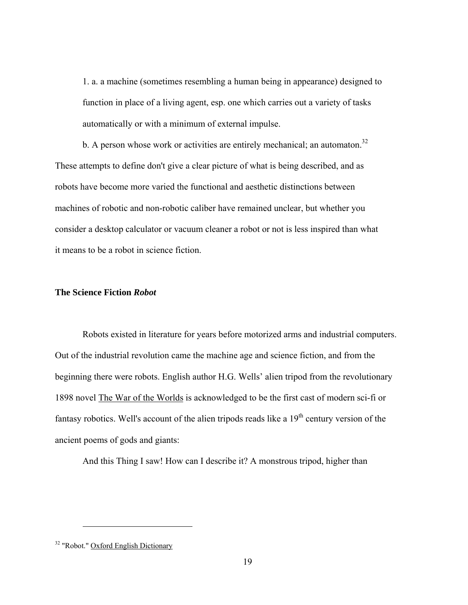1. a. a machine (sometimes resembling a human being in appearance) designed to function in place of a living agent, esp. one which carries out a variety of tasks automatically or with a minimum of external impulse.

b. A person whose work or activities are entirely mechanical; an automaton.<sup>32</sup> These attempts to define don't give a clear picture of what is being described, and as robots have become more varied the functional and aesthetic distinctions between machines of robotic and non-robotic caliber have remained unclear, but whether you consider a desktop calculator or vacuum cleaner a robot or not is less inspired than what it means to be a robot in science fiction.

#### **The Science Fiction** *Robot*

Robots existed in literature for years before motorized arms and industrial computers. Out of the industrial revolution came the machine age and science fiction, and from the beginning there were robots. English author H.G. Wells' alien tripod from the revolutionary 1898 novel The War of the Worlds is acknowledged to be the first cast of modern sci-fi or fantasy robotics. Well's account of the alien tripods reads like a  $19<sup>th</sup>$  century version of the ancient poems of gods and giants:

And this Thing I saw! How can I describe it? A monstrous tripod, higher than

<sup>&</sup>lt;sup>32</sup> "Robot." Oxford English Dictionary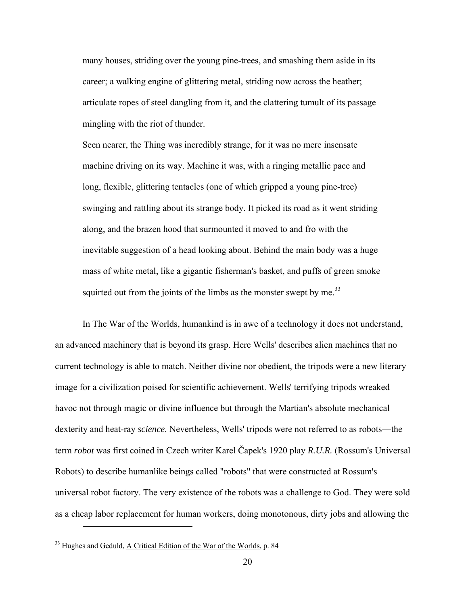many houses, striding over the young pine-trees, and smashing them aside in its career; a walking engine of glittering metal, striding now across the heather; articulate ropes of steel dangling from it, and the clattering tumult of its passage mingling with the riot of thunder.

Seen nearer, the Thing was incredibly strange, for it was no mere insensate machine driving on its way. Machine it was, with a ringing metallic pace and long, flexible, glittering tentacles (one of which gripped a young pine-tree) swinging and rattling about its strange body. It picked its road as it went striding along, and the brazen hood that surmounted it moved to and fro with the inevitable suggestion of a head looking about. Behind the main body was a huge mass of white metal, like a gigantic fisherman's basket, and puffs of green smoke squirted out from the joints of the limbs as the monster swept by me.<sup>33</sup>

In The War of the Worlds, humankind is in awe of a technology it does not understand, an advanced machinery that is beyond its grasp. Here Wells' describes alien machines that no current technology is able to match. Neither divine nor obedient, the tripods were a new literary image for a civilization poised for scientific achievement. Wells' terrifying tripods wreaked havoc not through magic or divine influence but through the Martian's absolute mechanical dexterity and heat-ray *science.* Nevertheless, Wells' tripods were not referred to as robots—the term *robot* was first coined in Czech writer Karel Čapek's 1920 play *R.U.R.* (Rossum's Universal Robots) to describe humanlike beings called "robots" that were constructed at Rossum's universal robot factory. The very existence of the robots was a challenge to God. They were sold as a cheap labor replacement for human workers, doing monotonous, dirty jobs and allowing the

<sup>&</sup>lt;sup>33</sup> Hughes and Geduld, A Critical Edition of the War of the Worlds, p. 84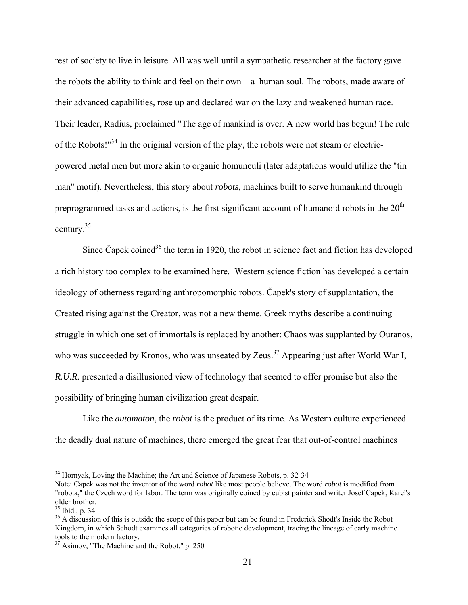rest of society to live in leisure. All was well until a sympathetic researcher at the factory gave the robots the ability to think and feel on their own—a human soul. The robots, made aware of their advanced capabilities, rose up and declared war on the lazy and weakened human race. Their leader, Radius, proclaimed "The age of mankind is over. A new world has begun! The rule of the Robots!"<sup>34</sup> In the original version of the play, the robots were not steam or electricpowered metal men but more akin to organic homunculi (later adaptations would utilize the "tin man" motif). Nevertheless, this story about *robots*, machines built to serve humankind through preprogrammed tasks and actions, is the first significant account of humanoid robots in the  $20<sup>th</sup>$ century.35

Since Čapek coined<sup>36</sup> the term in 1920, the robot in science fact and fiction has developed a rich history too complex to be examined here. Western science fiction has developed a certain ideology of otherness regarding anthropomorphic robots. Čapek's story of supplantation, the Created rising against the Creator, was not a new theme. Greek myths describe a continuing struggle in which one set of immortals is replaced by another: Chaos was supplanted by Ouranos, who was succeeded by Kronos, who was unseated by Zeus.<sup>37</sup> Appearing just after World War I, *R.U.R.* presented a disillusioned view of technology that seemed to offer promise but also the possibility of bringing human civilization great despair.

Like the *automaton*, the *robot* is the product of its time. As Western culture experienced the deadly dual nature of machines, there emerged the great fear that out-of-control machines

<sup>&</sup>lt;sup>34</sup> Hornyak, Loving the Machine; the Art and Science of Japanese Robots, p. 32-34

Note: Capek was not the inventor of the word *robot* like most people believe. The word *robot* is modified from "robota," the Czech word for labor. The term was originally coined by cubist painter and writer Josef Capek, Karel's older brother.

<sup>35</sup> Ibid., p. 34

<sup>&</sup>lt;sup>36</sup> A discussion of this is outside the scope of this paper but can be found in Frederick Shodt's Inside the Robot Kingdom, in which Schodt examines all categories of robotic development, tracing the lineage of early machine tools to the modern factory.

<sup>&</sup>lt;sup>37</sup> Asimov, "The Machine and the Robot," p. 250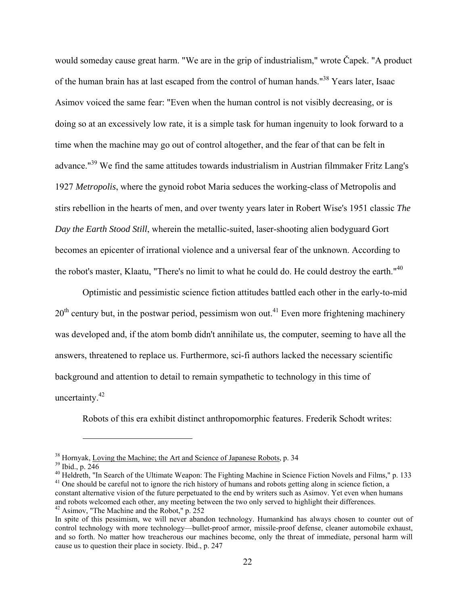would someday cause great harm. "We are in the grip of industrialism," wrote Čapek. "A product of the human brain has at last escaped from the control of human hands."<sup>38</sup> Years later, Isaac Asimov voiced the same fear: "Even when the human control is not visibly decreasing, or is doing so at an excessively low rate, it is a simple task for human ingenuity to look forward to a time when the machine may go out of control altogether, and the fear of that can be felt in advance."39 We find the same attitudes towards industrialism in Austrian filmmaker Fritz Lang's 1927 *Metropolis*, where the gynoid robot Maria seduces the working-class of Metropolis and stirs rebellion in the hearts of men, and over twenty years later in Robert Wise's 1951 classic *The Day the Earth Stood Still*, wherein the metallic-suited, laser-shooting alien bodyguard Gort becomes an epicenter of irrational violence and a universal fear of the unknown. According to the robot's master, Klaatu, "There's no limit to what he could do. He could destroy the earth."40

Optimistic and pessimistic science fiction attitudes battled each other in the early-to-mid  $20<sup>th</sup>$  century but, in the postwar period, pessimism won out.<sup>41</sup> Even more frightening machinery was developed and, if the atom bomb didn't annihilate us, the computer, seeming to have all the answers, threatened to replace us. Furthermore, sci-fi authors lacked the necessary scientific background and attention to detail to remain sympathetic to technology in this time of uncertainty.<sup>42</sup>

Robots of this era exhibit distinct anthropomorphic features. Frederik Schodt writes:

 $38$  Hornyak, Loving the Machine; the Art and Science of Japanese Robots, p. 34  $39$  Ibid., p. 246

<sup>&</sup>lt;sup>40</sup> Heldreth, "In Search of the Ultimate Weapon: The Fighting Machine in Science Fiction Novels and Films," p. 133<br><sup>41</sup> One should be careful not to ignore the rich history of humans and robots getting along in science f constant alternative vision of the future perpetuated to the end by writers such as Asimov. Yet even when humans and robots welcomed each other, any meeting between the two only served to highlight their differences. 42 Asimov, "The Machine and the Robot," p. 252

In spite of this pessimism, we will never abandon technology. Humankind has always chosen to counter out of control technology with more technology—bullet-proof armor, missile-proof defense, cleaner automobile exhaust, and so forth. No matter how treacherous our machines become, only the threat of immediate, personal harm will cause us to question their place in society. Ibid., p. 247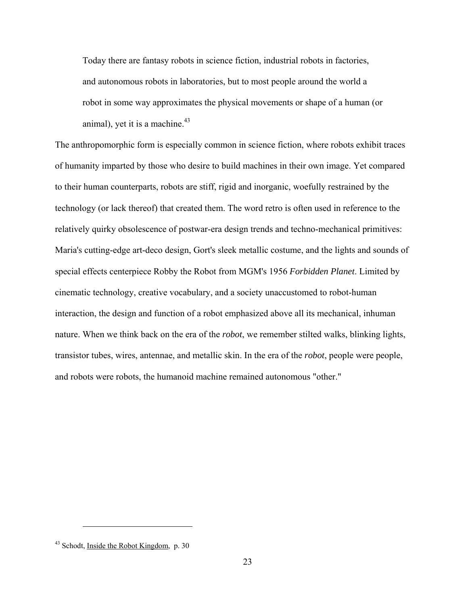Today there are fantasy robots in science fiction, industrial robots in factories, and autonomous robots in laboratories, but to most people around the world a robot in some way approximates the physical movements or shape of a human (or animal), yet it is a machine. $43$ 

The anthropomorphic form is especially common in science fiction, where robots exhibit traces of humanity imparted by those who desire to build machines in their own image. Yet compared to their human counterparts, robots are stiff, rigid and inorganic, woefully restrained by the technology (or lack thereof) that created them. The word retro is often used in reference to the relatively quirky obsolescence of postwar-era design trends and techno-mechanical primitives: Maria's cutting-edge art-deco design, Gort's sleek metallic costume, and the lights and sounds of special effects centerpiece Robby the Robot from MGM's 1956 *Forbidden Planet*. Limited by cinematic technology, creative vocabulary, and a society unaccustomed to robot-human interaction, the design and function of a robot emphasized above all its mechanical, inhuman nature. When we think back on the era of the *robot*, we remember stilted walks, blinking lights, transistor tubes, wires, antennae, and metallic skin. In the era of the *robot*, people were people, and robots were robots, the humanoid machine remained autonomous "other."

 $43$  Schodt, Inside the Robot Kingdom, p. 30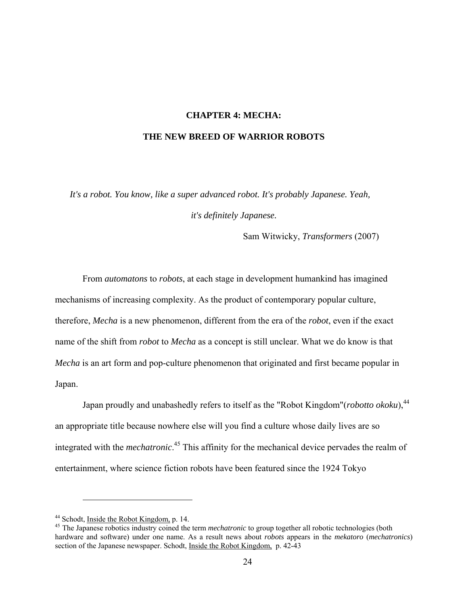#### **CHAPTER 4: MECHA:**

#### <span id="page-30-0"></span>**THE NEW BREED OF WARRIOR ROBOTS**

*It's a robot. You know, like a super advanced robot. It's probably Japanese. Yeah, it's definitely Japanese.*

Sam Witwicky, *Transformers* (2007)

From *automatons* to *robots*, at each stage in development humankind has imagined mechanisms of increasing complexity. As the product of contemporary popular culture, therefore, *Mecha* is a new phenomenon, different from the era of the *robot*, even if the exact name of the shift from *robot* to *Mecha* as a concept is still unclear. What we do know is that *Mecha* is an art form and pop-culture phenomenon that originated and first became popular in Japan.

Japan proudly and unabashedly refers to itself as the "Robot Kingdom"(*robotto okoku*),<sup>44</sup> an appropriate title because nowhere else will you find a culture whose daily lives are so integrated with the *mechatronic*. 45 This affinity for the mechanical device pervades the realm of entertainment, where science fiction robots have been featured since the 1924 Tokyo

<sup>&</sup>lt;sup>44</sup> Schodt, <u>Inside the Robot Kingdom</u>, p. 14.<br><sup>45</sup> The Japanese robotics industry coined the term *mechatronic* to group together all robotic technologies (both hardware and software) under one name. As a result news about *robots* appears in the *mekatoro* (*mechatronics*) section of the Japanese newspaper. Schodt, Inside the Robot Kingdom, p. 42-43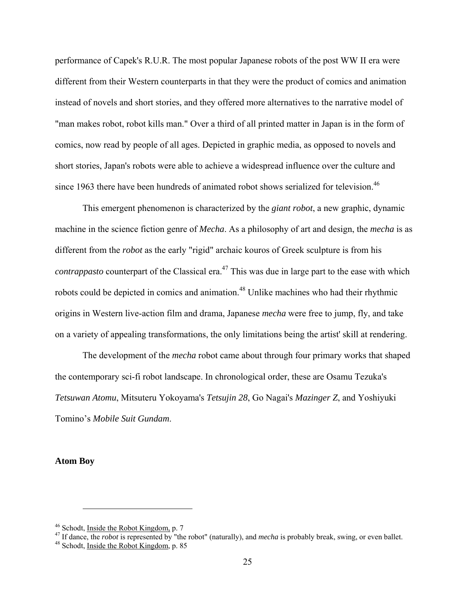performance of Capek's R.U.R. The most popular Japanese robots of the post WW II era were different from their Western counterparts in that they were the product of comics and animation instead of novels and short stories, and they offered more alternatives to the narrative model of "man makes robot, robot kills man." Over a third of all printed matter in Japan is in the form of comics, now read by people of all ages. Depicted in graphic media, as opposed to novels and short stories, Japan's robots were able to achieve a widespread influence over the culture and since 1963 there have been hundreds of animated robot shows serialized for television.<sup>46</sup>

This emergent phenomenon is characterized by the *giant robot*, a new graphic, dynamic machine in the science fiction genre of *Mecha*. As a philosophy of art and design, the *mecha* is as different from the *robot* as the early "rigid" archaic kouros of Greek sculpture is from his *contrappasto* counterpart of the Classical era.<sup>47</sup> This was due in large part to the ease with which robots could be depicted in comics and animation.<sup>48</sup> Unlike machines who had their rhythmic origins in Western live-action film and drama, Japanese *mecha* were free to jump, fly, and take on a variety of appealing transformations, the only limitations being the artist' skill at rendering.

The development of the *mecha* robot came about through four primary works that shaped the contemporary sci-fi robot landscape. In chronological order, these are Osamu Tezuka's *Tetsuwan Atomu*, Mitsuteru Yokoyama's *Tetsujin 28*, Go Nagai's *Mazinger Z*, and Yoshiyuki Tomino's *Mobile Suit Gundam*.

#### **Atom Boy**

<sup>&</sup>lt;sup>46</sup> Schodt, <u>Inside the Robot Kingdom,</u> p. 7<br><sup>47</sup> If dance, the *robot* is represented by "the robot" (naturally), and *mecha* is probably break, swing, or even ballet.<br><sup>48</sup> Schodt, Inside the Robot Kingdom, p. 85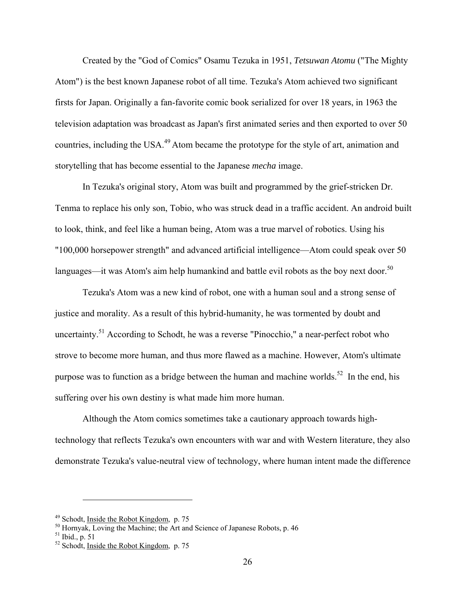Created by the "God of Comics" Osamu Tezuka in 1951, *Tetsuwan Atomu* ("The Mighty Atom") is the best known Japanese robot of all time. Tezuka's Atom achieved two significant firsts for Japan. Originally a fan-favorite comic book serialized for over 18 years, in 1963 the television adaptation was broadcast as Japan's first animated series and then exported to over 50 countries, including the USA.<sup>49</sup> Atom became the prototype for the style of art, animation and storytelling that has become essential to the Japanese *mecha* image.

In Tezuka's original story, Atom was built and programmed by the grief-stricken Dr. Tenma to replace his only son, Tobio, who was struck dead in a traffic accident. An android built to look, think, and feel like a human being, Atom was a true marvel of robotics. Using his "100,000 horsepower strength" and advanced artificial intelligence—Atom could speak over 50 languages—it was Atom's aim help humankind and battle evil robots as the boy next door.<sup>50</sup>

Tezuka's Atom was a new kind of robot, one with a human soul and a strong sense of justice and morality. As a result of this hybrid-humanity, he was tormented by doubt and uncertainty.<sup>51</sup> According to Schodt, he was a reverse "Pinocchio," a near-perfect robot who strove to become more human, and thus more flawed as a machine. However, Atom's ultimate purpose was to function as a bridge between the human and machine worlds.<sup>52</sup> In the end, his suffering over his own destiny is what made him more human.

Although the Atom comics sometimes take a cautionary approach towards hightechnology that reflects Tezuka's own encounters with war and with Western literature, they also demonstrate Tezuka's value-neutral view of technology, where human intent made the difference

<sup>&</sup>lt;sup>49</sup> Schodt, <u>Inside the Robot Kingdom</u>, p. 75<br><sup>50</sup> Hornyak, Loving the Machine; the Art and Science of Japanese Robots, p. 46

 $51$  Ibid., p. 51

<sup>&</sup>lt;sup>52</sup> Schodt, <u>Inside the Robot Kingdom</u>, p. 75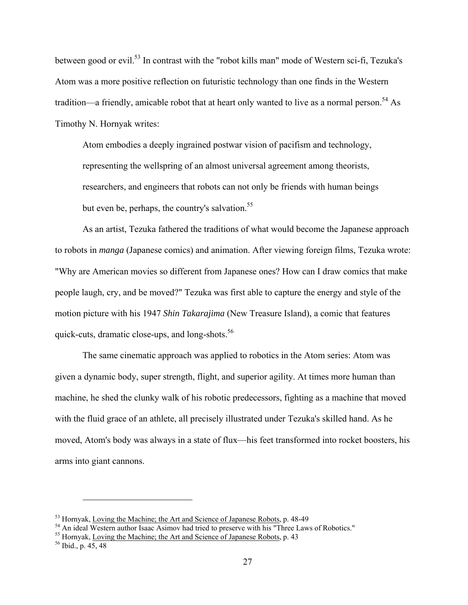between good or evil.<sup>53</sup> In contrast with the "robot kills man" mode of Western sci-fi, Tezuka's Atom was a more positive reflection on futuristic technology than one finds in the Western tradition—a friendly, amicable robot that at heart only wanted to live as a normal person.<sup>54</sup> As Timothy N. Hornyak writes:

Atom embodies a deeply ingrained postwar vision of pacifism and technology, representing the wellspring of an almost universal agreement among theorists, researchers, and engineers that robots can not only be friends with human beings but even be, perhaps, the country's salvation.<sup>55</sup>

As an artist, Tezuka fathered the traditions of what would become the Japanese approach to robots in *manga* (Japanese comics) and animation. After viewing foreign films, Tezuka wrote: "Why are American movies so different from Japanese ones? How can I draw comics that make people laugh, cry, and be moved?" Tezuka was first able to capture the energy and style of the motion picture with his 1947 *Shin Takarajima* (New Treasure Island), a comic that features quick-cuts, dramatic close-ups, and long-shots.<sup>56</sup>

The same cinematic approach was applied to robotics in the Atom series: Atom was given a dynamic body, super strength, flight, and superior agility. At times more human than machine, he shed the clunky walk of his robotic predecessors, fighting as a machine that moved with the fluid grace of an athlete, all precisely illustrated under Tezuka's skilled hand. As he moved, Atom's body was always in a state of flux—his feet transformed into rocket boosters, his arms into giant cannons.

<sup>&</sup>lt;sup>53</sup> Hornyak, <u>Loving the Machine; the Art and Science of Japanese Robots</u>, p. 48-49<br><sup>54</sup> An ideal Western author Isaac Asimov had tried to preserve with his "Three Laws of Robotics."<br><sup>55</sup> Hornyak, Loving the Machine; the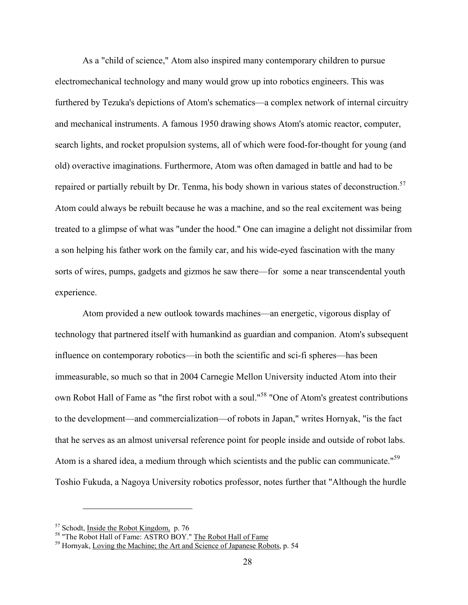As a "child of science," Atom also inspired many contemporary children to pursue electromechanical technology and many would grow up into robotics engineers. This was furthered by Tezuka's depictions of Atom's schematics—a complex network of internal circuitry and mechanical instruments. A famous 1950 drawing shows Atom's atomic reactor, computer, search lights, and rocket propulsion systems, all of which were food-for-thought for young (and old) overactive imaginations. Furthermore, Atom was often damaged in battle and had to be repaired or partially rebuilt by Dr. Tenma, his body shown in various states of deconstruction.<sup>57</sup> Atom could always be rebuilt because he was a machine, and so the real excitement was being treated to a glimpse of what was "under the hood." One can imagine a delight not dissimilar from a son helping his father work on the family car, and his wide-eyed fascination with the many sorts of wires, pumps, gadgets and gizmos he saw there—for some a near transcendental youth experience.

Atom provided a new outlook towards machines—an energetic, vigorous display of technology that partnered itself with humankind as guardian and companion. Atom's subsequent influence on contemporary robotics—in both the scientific and sci-fi spheres—has been immeasurable, so much so that in 2004 Carnegie Mellon University inducted Atom into their own Robot Hall of Fame as "the first robot with a soul."<sup>58</sup> "One of Atom's greatest contributions to the development—and commercialization—of robots in Japan," writes Hornyak, "is the fact that he serves as an almost universal reference point for people inside and outside of robot labs. Atom is a shared idea, a medium through which scientists and the public can communicate."<sup>59</sup> Toshio Fukuda, a Nagoya University robotics professor, notes further that "Although the hurdle

<u>.</u>

 $57$  Schodt, Inside the Robot Kingdom, p. 76<br> $58$  "The Robot Hall of Fame: ASTRO BOY." The Robot Hall of Fame

<sup>59</sup> Hornyak, Loving the Machine; the Art and Science of Japanese Robots, p. 54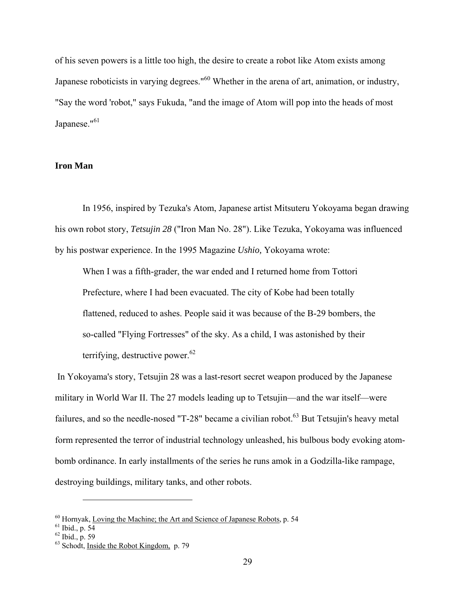of his seven powers is a little too high, the desire to create a robot like Atom exists among Japanese roboticists in varying degrees."<sup>60</sup> Whether in the arena of art, animation, or industry, "Say the word 'robot," says Fukuda, "and the image of Atom will pop into the heads of most Japanese."<sup>61</sup>

#### **Iron Man**

In 1956, inspired by Tezuka's Atom, Japanese artist Mitsuteru Yokoyama began drawing his own robot story, *Tetsujin 28* ("Iron Man No. 28"). Like Tezuka, Yokoyama was influenced by his postwar experience. In the 1995 Magazine *Ushio,* Yokoyama wrote:

When I was a fifth-grader, the war ended and I returned home from Tottori Prefecture, where I had been evacuated. The city of Kobe had been totally flattened, reduced to ashes. People said it was because of the B-29 bombers, the so-called "Flying Fortresses" of the sky. As a child, I was astonished by their terrifying, destructive power.<sup>62</sup>

In Yokoyama's story, Tetsujin 28 was a last-resort secret weapon produced by the Japanese military in World War II. The 27 models leading up to Tetsujin—and the war itself—were failures, and so the needle-nosed "T-28" became a civilian robot.<sup>63</sup> But Tetsujin's heavy metal form represented the terror of industrial technology unleashed, his bulbous body evoking atombomb ordinance. In early installments of the series he runs amok in a Godzilla-like rampage, destroying buildings, military tanks, and other robots.

 $60$  Hornyak, Loving the Machine; the Art and Science of Japanese Robots, p. 54  $61$  Ibid., p. 54

 $62$  Ibid., p. 59

 $63$  Schodt, Inside the Robot Kingdom, p. 79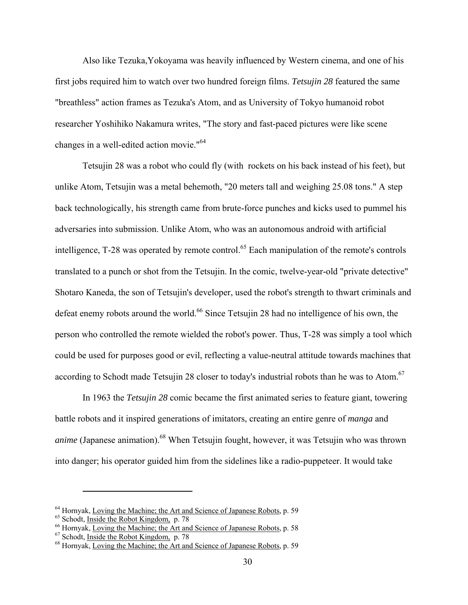Also like Tezuka,Yokoyama was heavily influenced by Western cinema, and one of his first jobs required him to watch over two hundred foreign films. *Tetsujin 28* featured the same "breathless" action frames as Tezuka's Atom, and as University of Tokyo humanoid robot researcher Yoshihiko Nakamura writes, "The story and fast-paced pictures were like scene changes in a well-edited action movie."<sup>64</sup>

Tetsujin 28 was a robot who could fly (with rockets on his back instead of his feet), but unlike Atom, Tetsujin was a metal behemoth, "20 meters tall and weighing 25.08 tons." A step back technologically, his strength came from brute-force punches and kicks used to pummel his adversaries into submission. Unlike Atom, who was an autonomous android with artificial intelligence, T-28 was operated by remote control.<sup>65</sup> Each manipulation of the remote's controls translated to a punch or shot from the Tetsujin. In the comic, twelve-year-old "private detective" Shotaro Kaneda, the son of Tetsujin's developer, used the robot's strength to thwart criminals and defeat enemy robots around the world.<sup>66</sup> Since Tetsujin 28 had no intelligence of his own, the person who controlled the remote wielded the robot's power. Thus, T-28 was simply a tool which could be used for purposes good or evil, reflecting a value-neutral attitude towards machines that according to Schodt made Tetsujin 28 closer to today's industrial robots than he was to Atom.<sup>67</sup>

In 1963 the *Tetsujin 28* comic became the first animated series to feature giant, towering battle robots and it inspired generations of imitators, creating an entire genre of *manga* and *anime* (Japanese animation).<sup>68</sup> When Tetsujin fought, however, it was Tetsujin who was thrown into danger; his operator guided him from the sidelines like a radio-puppeteer. It would take

<sup>&</sup>lt;sup>64</sup> Hornyak, <u>Loving the Machine; the Art and Science of Japanese Robots</u>, p. 59<br><sup>65</sup> Schodt, <u>Inside the Robot Kingdom</u>, p. 78<br><sup>66</sup> Hornyak, <u>Loving the Machine; the Art and Science of Japanese Robots</u>, p. 58<br><sup>67</sup> Schod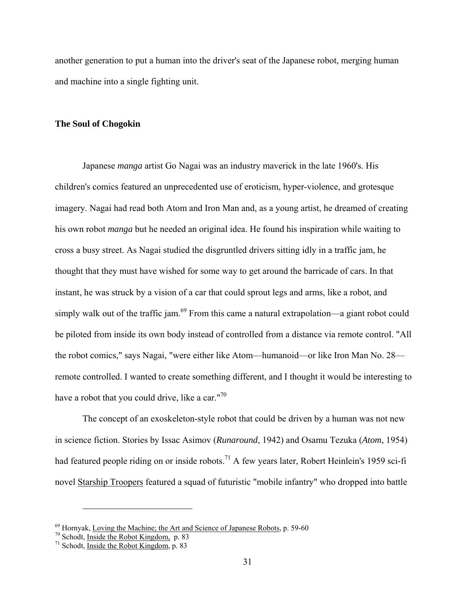another generation to put a human into the driver's seat of the Japanese robot, merging human and machine into a single fighting unit.

#### **The Soul of Chogokin**

Japanese *manga* artist Go Nagai was an industry maverick in the late 1960's. His children's comics featured an unprecedented use of eroticism, hyper-violence, and grotesque imagery. Nagai had read both Atom and Iron Man and, as a young artist, he dreamed of creating his own robot *manga* but he needed an original idea. He found his inspiration while waiting to cross a busy street. As Nagai studied the disgruntled drivers sitting idly in a traffic jam, he thought that they must have wished for some way to get around the barricade of cars. In that instant, he was struck by a vision of a car that could sprout legs and arms, like a robot, and simply walk out of the traffic jam.<sup>69</sup> From this came a natural extrapolation—a giant robot could be piloted from inside its own body instead of controlled from a distance via remote control. "All the robot comics," says Nagai, "were either like Atom—humanoid—or like Iron Man No. 28 remote controlled. I wanted to create something different, and I thought it would be interesting to have a robot that you could drive, like a car." $70$ 

The concept of an exoskeleton-style robot that could be driven by a human was not new in science fiction. Stories by Issac Asimov (*Runaround*, 1942) and Osamu Tezuka (*Atom*, 1954) had featured people riding on or inside robots.<sup>71</sup> A few years later, Robert Heinlein's 1959 sci-fi novel Starship Troopers featured a squad of futuristic "mobile infantry" who dropped into battle

<sup>&</sup>lt;sup>69</sup> Hornyak, <u>Loving the Machine; the Art and Science of Japanese Robots</u>, p. 59-60<br><sup>70</sup> Schodt, <u>Inside the Robot Kingdom</u>, p. 83<br><sup>71</sup> Schodt, Inside the Robot Kingdom, p. 83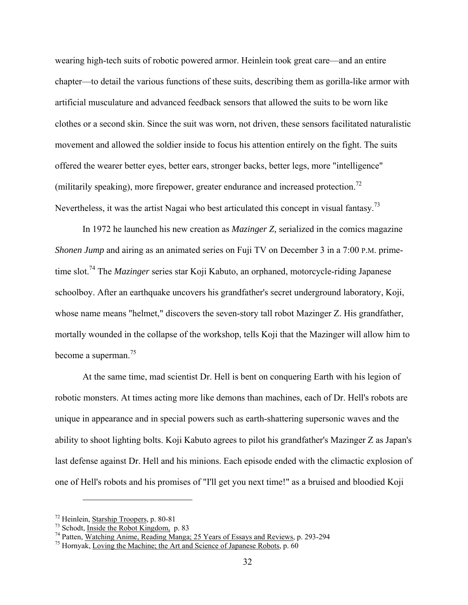wearing high-tech suits of robotic powered armor. Heinlein took great care—and an entire chapter—to detail the various functions of these suits, describing them as gorilla-like armor with artificial musculature and advanced feedback sensors that allowed the suits to be worn like clothes or a second skin. Since the suit was worn, not driven, these sensors facilitated naturalistic movement and allowed the soldier inside to focus his attention entirely on the fight. The suits offered the wearer better eyes, better ears, stronger backs, better legs, more "intelligence" (militarily speaking), more firepower, greater endurance and increased protection.<sup>72</sup> Nevertheless, it was the artist Nagai who best articulated this concept in visual fantasy.<sup>73</sup>

In 1972 he launched his new creation as *Mazinger Z,* serialized in the comics magazine *Shonen Jump* and airing as an animated series on Fuji TV on December 3 in a 7:00 P.M. primetime slot.74 The *Mazinger* series star Koji Kabuto, an orphaned, motorcycle-riding Japanese schoolboy. After an earthquake uncovers his grandfather's secret underground laboratory, Koji, whose name means "helmet," discovers the seven-story tall robot Mazinger Z. His grandfather, mortally wounded in the collapse of the workshop, tells Koji that the Mazinger will allow him to become a superman.<sup>75</sup>

At the same time, mad scientist Dr. Hell is bent on conquering Earth with his legion of robotic monsters. At times acting more like demons than machines, each of Dr. Hell's robots are unique in appearance and in special powers such as earth-shattering supersonic waves and the ability to shoot lighting bolts. Koji Kabuto agrees to pilot his grandfather's Mazinger Z as Japan's last defense against Dr. Hell and his minions. Each episode ended with the climactic explosion of one of Hell's robots and his promises of "I'll get you next time!" as a bruised and bloodied Koji

<sup>&</sup>lt;sup>72</sup> Heinlein, <u>Starship Troopers</u>, p. 80-81<br><sup>73</sup> Schodt, <u>Inside the Robot Kingdom</u>, p. 83<br><sup>74</sup> Patten, Watching Anime, Reading Manga; 25 Years of Essays and Reviews, p. 293-294<br><sup>75</sup> Hornyak, Loving the Machine; the Art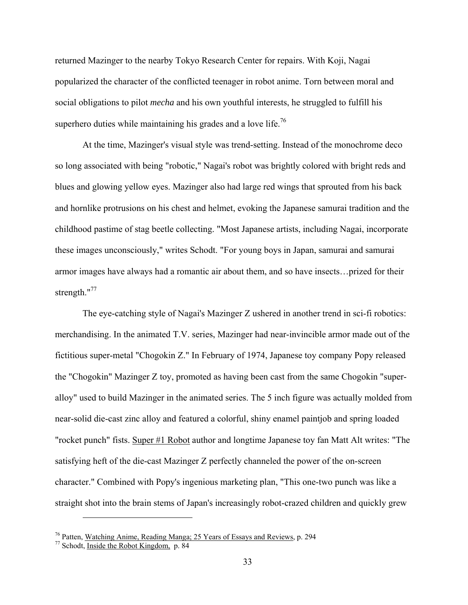returned Mazinger to the nearby Tokyo Research Center for repairs. With Koji, Nagai popularized the character of the conflicted teenager in robot anime. Torn between moral and social obligations to pilot *mecha* and his own youthful interests, he struggled to fulfill his superhero duties while maintaining his grades and a love life.<sup>76</sup>

At the time, Mazinger's visual style was trend-setting. Instead of the monochrome deco so long associated with being "robotic," Nagai's robot was brightly colored with bright reds and blues and glowing yellow eyes. Mazinger also had large red wings that sprouted from his back and hornlike protrusions on his chest and helmet, evoking the Japanese samurai tradition and the childhood pastime of stag beetle collecting. "Most Japanese artists, including Nagai, incorporate these images unconsciously," writes Schodt. "For young boys in Japan, samurai and samurai armor images have always had a romantic air about them, and so have insects…prized for their strength."<sup>77</sup>

The eye-catching style of Nagai's Mazinger Z ushered in another trend in sci-fi robotics: merchandising. In the animated T.V. series, Mazinger had near-invincible armor made out of the fictitious super-metal "Chogokin Z." In February of 1974, Japanese toy company Popy released the "Chogokin" Mazinger Z toy, promoted as having been cast from the same Chogokin "superalloy" used to build Mazinger in the animated series. The 5 inch figure was actually molded from near-solid die-cast zinc alloy and featured a colorful, shiny enamel paintjob and spring loaded "rocket punch" fists. Super #1 Robot author and longtime Japanese toy fan Matt Alt writes: "The satisfying heft of the die-cast Mazinger Z perfectly channeled the power of the on-screen character." Combined with Popy's ingenious marketing plan, "This one-two punch was like a straight shot into the brain stems of Japan's increasingly robot-crazed children and quickly grew

<sup>&</sup>lt;sup>76</sup> Patten, Watching Anime, Reading Manga; 25 Years of Essays and Reviews, p. 294  $^{77}$  Schodt, Inside the Robot Kingdom, p. 84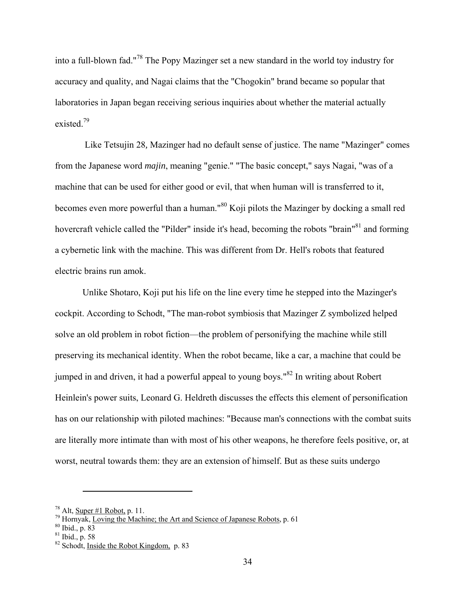into a full-blown fad."78 The Popy Mazinger set a new standard in the world toy industry for accuracy and quality, and Nagai claims that the "Chogokin" brand became so popular that laboratories in Japan began receiving serious inquiries about whether the material actually existed $^{79}$ 

 Like Tetsujin 28*,* Mazinger had no default sense of justice. The name "Mazinger" comes from the Japanese word *majin*, meaning "genie." "The basic concept," says Nagai, "was of a machine that can be used for either good or evil, that when human will is transferred to it, becomes even more powerful than a human."<sup>80</sup> Koji pilots the Mazinger by docking a small red hovercraft vehicle called the "Pilder" inside it's head, becoming the robots "brain"<sup>81</sup> and forming a cybernetic link with the machine. This was different from Dr. Hell's robots that featured electric brains run amok.

Unlike Shotaro, Koji put his life on the line every time he stepped into the Mazinger's cockpit. According to Schodt, "The man-robot symbiosis that Mazinger Z symbolized helped solve an old problem in robot fiction—the problem of personifying the machine while still preserving its mechanical identity. When the robot became, like a car, a machine that could be jumped in and driven, it had a powerful appeal to young boys."82 In writing about Robert Heinlein's power suits, Leonard G. Heldreth discusses the effects this element of personification has on our relationship with piloted machines: "Because man's connections with the combat suits are literally more intimate than with most of his other weapons, he therefore feels positive, or, at worst, neutral towards them: they are an extension of himself. But as these suits undergo

<sup>&</sup>lt;sup>78</sup> Alt, <u>Super #1 Robot,</u> p. 11.<br><sup>79</sup> Hornyak, <u>Loving the Machine; the Art and Science of Japanese Robots</u>, p. 61 <sup>80</sup> Ibid., p. 83

<sup>81</sup> Ibid., p. 58

 $82$  Schodt, Inside the Robot Kingdom, p. 83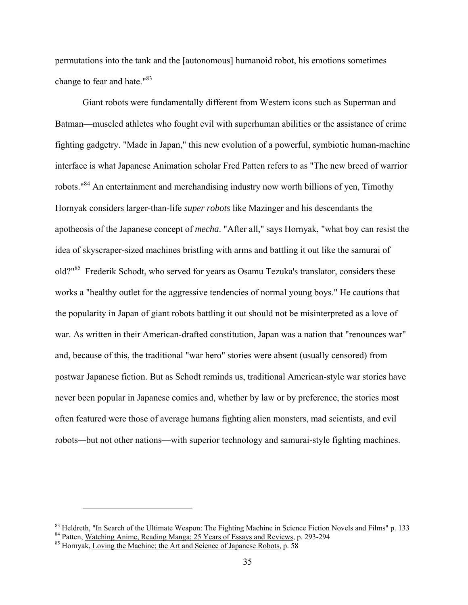permutations into the tank and the [autonomous] humanoid robot, his emotions sometimes change to fear and hate."<sup>83</sup>

Giant robots were fundamentally different from Western icons such as Superman and Batman—muscled athletes who fought evil with superhuman abilities or the assistance of crime fighting gadgetry. "Made in Japan," this new evolution of a powerful, symbiotic human-machine interface is what Japanese Animation scholar Fred Patten refers to as "The new breed of warrior robots."84 An entertainment and merchandising industry now worth billions of yen, Timothy Hornyak considers larger-than-life *super robots* like Mazinger and his descendants the apotheosis of the Japanese concept of *mecha*. "After all," says Hornyak, "what boy can resist the idea of skyscraper-sized machines bristling with arms and battling it out like the samurai of old?"85 Frederik Schodt, who served for years as Osamu Tezuka's translator, considers these works a "healthy outlet for the aggressive tendencies of normal young boys." He cautions that the popularity in Japan of giant robots battling it out should not be misinterpreted as a love of war. As written in their American-drafted constitution, Japan was a nation that "renounces war" and, because of this, the traditional "war hero" stories were absent (usually censored) from postwar Japanese fiction. But as Schodt reminds us, traditional American-style war stories have never been popular in Japanese comics and, whether by law or by preference, the stories most often featured were those of average humans fighting alien monsters, mad scientists, and evil robots*—*but not other nations—with superior technology and samurai-style fighting machines.

<sup>&</sup>lt;sup>83</sup> Heldreth, "In Search of the Ultimate Weapon: The Fighting Machine in Science Fiction Novels and Films" p. 133

<sup>84</sup> Patten, Watching Anime, Reading Manga; 25 Years of Essays and Reviews, p. 293-294 85 Hornyak, Loving the Machine; the Art and Science of Japanese Robots, p. 58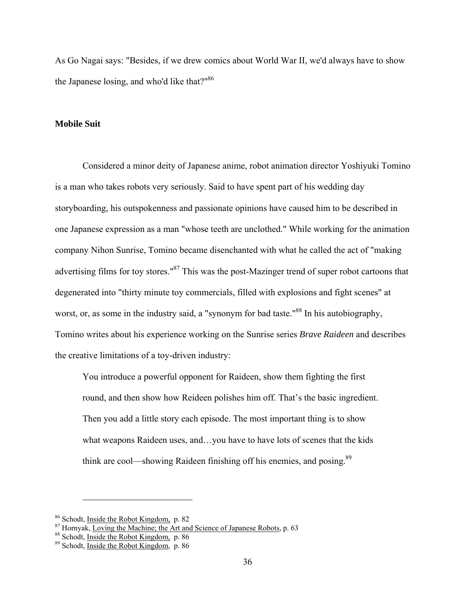As Go Nagai says: "Besides, if we drew comics about World War II, we'd always have to show the Japanese losing, and who'd like that?"<sup>86</sup>

#### **Mobile Suit**

Considered a minor deity of Japanese anime, robot animation director Yoshiyuki Tomino is a man who takes robots very seriously. Said to have spent part of his wedding day storyboarding, his outspokenness and passionate opinions have caused him to be described in one Japanese expression as a man "whose teeth are unclothed." While working for the animation company Nihon Sunrise, Tomino became disenchanted with what he called the act of "making advertising films for toy stores."<sup>87</sup> This was the post-Mazinger trend of super robot cartoons that degenerated into "thirty minute toy commercials, filled with explosions and fight scenes" at worst, or, as some in the industry said, a "synonym for bad taste."<sup>88</sup> In his autobiography, Tomino writes about his experience working on the Sunrise series *Brave Raideen* and describes the creative limitations of a toy-driven industry:

You introduce a powerful opponent for Raideen, show them fighting the first round, and then show how Reideen polishes him off. That's the basic ingredient. Then you add a little story each episode. The most important thing is to show what weapons Raideen uses, and…you have to have lots of scenes that the kids think are cool—showing Raideen finishing off his enemies, and posing.<sup>89</sup>

<sup>&</sup>lt;sup>86</sup> Schodt, <u>Inside the Robot Kingdom,</u> p. 82<br><sup>87</sup> Hornyak, <u>Loving the Machine; the Art and Science of Japanese Robots</u>, p. 63<br><sup>88</sup> Schodt, <u>Inside the Robot Kingdom</u>, p. 86<br><sup>89</sup> Schodt, Inside the Robot Kingdom, p. 86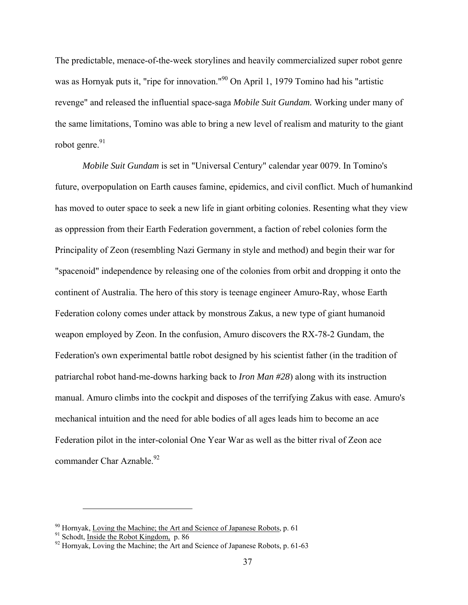The predictable, menace-of-the-week storylines and heavily commercialized super robot genre was as Hornyak puts it, "ripe for innovation."<sup>90</sup> On April 1, 1979 Tomino had his "artistic revenge" and released the influential space-saga *Mobile Suit Gundam.* Working under many of the same limitations, Tomino was able to bring a new level of realism and maturity to the giant robot genre. $91$ 

*Mobile Suit Gundam* is set in "Universal Century" calendar year 0079. In Tomino's future, overpopulation on Earth causes famine, epidemics, and civil conflict. Much of humankind has moved to outer space to seek a new life in giant orbiting colonies. Resenting what they view as oppression from their Earth Federation government, a faction of rebel colonies form the Principality of Zeon (resembling Nazi Germany in style and method) and begin their war for "spacenoid" independence by releasing one of the colonies from orbit and dropping it onto the continent of Australia. The hero of this story is teenage engineer Amuro-Ray, whose Earth Federation colony comes under attack by monstrous Zakus, a new type of giant humanoid weapon employed by Zeon. In the confusion, Amuro discovers the RX-78-2 Gundam, the Federation's own experimental battle robot designed by his scientist father (in the tradition of patriarchal robot hand-me-downs harking back to *Iron Man #28*) along with its instruction manual. Amuro climbs into the cockpit and disposes of the terrifying Zakus with ease. Amuro's mechanical intuition and the need for able bodies of all ages leads him to become an ace Federation pilot in the inter-colonial One Year War as well as the bitter rival of Zeon ace commander Char Aznable. $92$ 

<sup>&</sup>lt;sup>90</sup> Hornyak, Loving the Machine; the Art and Science of Japanese Robots, p. 61  $\frac{91}{91}$  Schodt, <u>Inside the Robot Kingdom</u>, p. 86  $\frac{92}{92}$  Hornyak, Loving the Machine; the Art and Science of Japanese Robots, p. 61-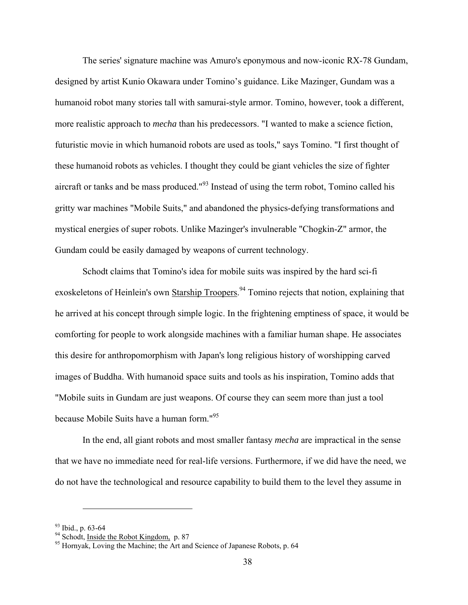The series' signature machine was Amuro's eponymous and now-iconic RX-78 Gundam, designed by artist Kunio Okawara under Tomino's guidance. Like Mazinger, Gundam was a humanoid robot many stories tall with samurai-style armor. Tomino, however, took a different, more realistic approach to *mecha* than his predecessors. "I wanted to make a science fiction, futuristic movie in which humanoid robots are used as tools," says Tomino. "I first thought of these humanoid robots as vehicles. I thought they could be giant vehicles the size of fighter aircraft or tanks and be mass produced." $93$  Instead of using the term robot, Tomino called his gritty war machines "Mobile Suits," and abandoned the physics-defying transformations and mystical energies of super robots. Unlike Mazinger's invulnerable "Chogkin-Z" armor, the Gundam could be easily damaged by weapons of current technology.

Schodt claims that Tomino's idea for mobile suits was inspired by the hard sci-fi exoskeletons of Heinlein's own **Starship Troopers.**<sup>94</sup> Tomino rejects that notion, explaining that he arrived at his concept through simple logic. In the frightening emptiness of space, it would be comforting for people to work alongside machines with a familiar human shape. He associates this desire for anthropomorphism with Japan's long religious history of worshipping carved images of Buddha. With humanoid space suits and tools as his inspiration, Tomino adds that "Mobile suits in Gundam are just weapons. Of course they can seem more than just a tool because Mobile Suits have a human form."95

In the end, all giant robots and most smaller fantasy *mecha* are impractical in the sense that we have no immediate need for real-life versions. Furthermore, if we did have the need, we do not have the technological and resource capability to build them to the level they assume in

<u>.</u>

 $\frac{93}{94}$  Ibid., p. 63-64<br> $\frac{94}{94}$  Schodt, <u>Inside the Robot Kingdom</u>, p. 87

<sup>&</sup>lt;sup>95</sup> Hornyak, Loving the Machine; the Art and Science of Japanese Robots, p. 64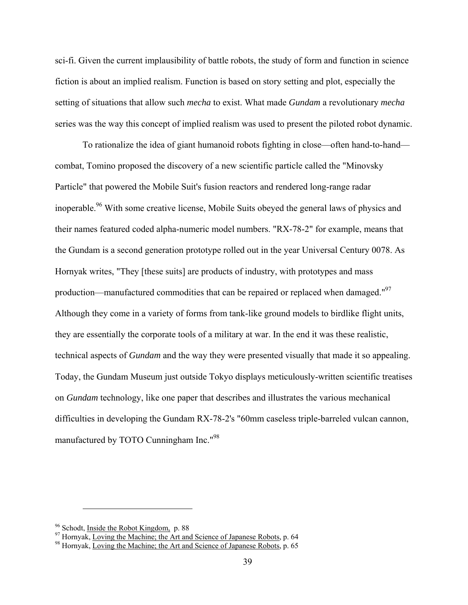sci-fi. Given the current implausibility of battle robots, the study of form and function in science fiction is about an implied realism. Function is based on story setting and plot, especially the setting of situations that allow such *mecha* to exist. What made *Gundam* a revolutionary *mecha* series was the way this concept of implied realism was used to present the piloted robot dynamic.

To rationalize the idea of giant humanoid robots fighting in close—often hand-to-hand combat, Tomino proposed the discovery of a new scientific particle called the "Minovsky Particle" that powered the Mobile Suit's fusion reactors and rendered long-range radar inoperable.<sup>96</sup> With some creative license, Mobile Suits obeyed the general laws of physics and their names featured coded alpha-numeric model numbers. "RX-78-2" for example, means that the Gundam is a second generation prototype rolled out in the year Universal Century 0078. As Hornyak writes, "They [these suits] are products of industry, with prototypes and mass production—manufactured commodities that can be repaired or replaced when damaged."<sup>97</sup> Although they come in a variety of forms from tank-like ground models to birdlike flight units, they are essentially the corporate tools of a military at war. In the end it was these realistic, technical aspects of *Gundam* and the way they were presented visually that made it so appealing. Today, the Gundam Museum just outside Tokyo displays meticulously-written scientific treatises on *Gundam* technology, like one paper that describes and illustrates the various mechanical difficulties in developing the Gundam RX-78-2's "60mm caseless triple-barreled vulcan cannon, manufactured by TOTO Cunningham Inc."98

<sup>&</sup>lt;sup>96</sup> Schodt, <u>Inside the Robot Kingdom,</u> p. 88<br><sup>97</sup> Hornyak, Loving the Machine; the Art and Science of Japanese Robots, p. 64<br><sup>98</sup> Hornyak, Loving the Machine; the Art and Science of Japanese Robots, p. 65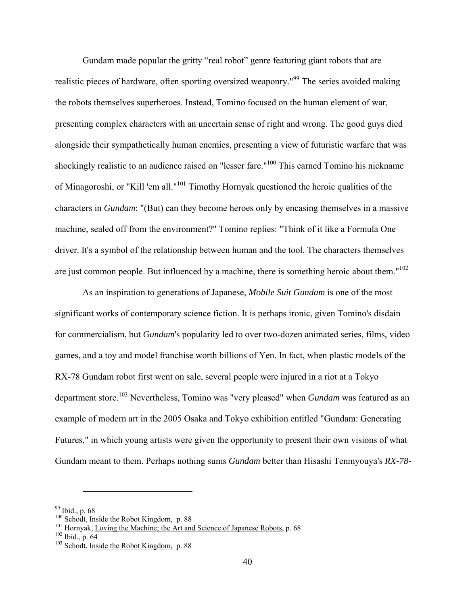Gundam made popular the gritty "real robot" genre featuring giant robots that are realistic pieces of hardware, often sporting oversized weaponry."<sup>99</sup> The series avoided making the robots themselves superheroes. Instead, Tomino focused on the human element of war, presenting complex characters with an uncertain sense of right and wrong. The good guys died alongside their sympathetically human enemies, presenting a view of futuristic warfare that was shockingly realistic to an audience raised on "lesser fare."<sup>100</sup> This earned Tomino his nickname of Minagoroshi, or "Kill 'em all."101 Timothy Hornyak questioned the heroic qualities of the characters in *Gundam*: "(But) can they become heroes only by encasing themselves in a massive machine, sealed off from the environment?" Tomino replies: "Think of it like a Formula One driver. It's a symbol of the relationship between human and the tool. The characters themselves are just common people. But influenced by a machine, there is something heroic about them." $102$ 

As an inspiration to generations of Japanese, *Mobile Suit Gundam* is one of the most significant works of contemporary science fiction. It is perhaps ironic, given Tomino's disdain for commercialism, but *Gundam*'s popularity led to over two-dozen animated series, films, video games, and a toy and model franchise worth billions of Yen. In fact, when plastic models of the RX-78 Gundam robot first went on sale, several people were injured in a riot at a Tokyo department store.<sup>103</sup> Nevertheless, Tomino was "very pleased" when *Gundam* was featured as an example of modern art in the 2005 Osaka and Tokyo exhibition entitled "Gundam: Generating Futures," in which young artists were given the opportunity to present their own visions of what Gundam meant to them. Perhaps nothing sums *Gundam* better than Hisashi Tenmyouya's *RX-78-*

 $\frac{99}{100}$  Ibid., p. 68<br> $\frac{100}{100}$  Schodt, Inside the Robot Kingdom, p. 88

<sup>&</sup>lt;sup>101</sup> Hornyak, <u>Loving the Machine; the Art and Science of Japanese Robots</u>, p. 68 <sup>102</sup> Ibid., p. 64 <sup>103</sup> Schodt, Inside the Robot Kingdom, p. 88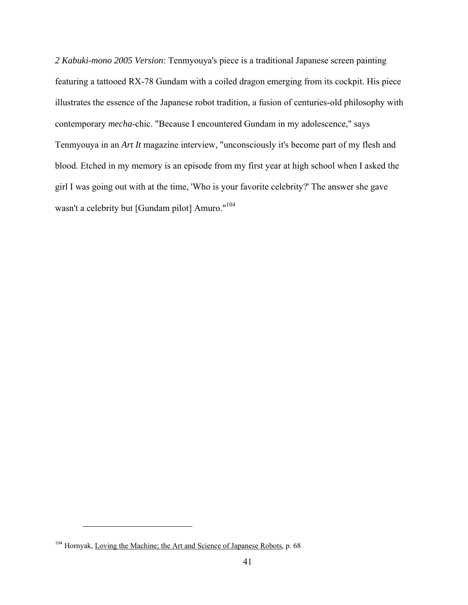*2 Kabuki-mono 2005 Version*: Tenmyouya's piece is a traditional Japanese screen painting featuring a tattooed RX-78 Gundam with a coiled dragon emerging from its cockpit. His piece illustrates the essence of the Japanese robot tradition, a fusion of centuries-old philosophy with contemporary *mecha*-chic. "Because I encountered Gundam in my adolescence," says Tenmyouya in an *Art It* magazine interview, "unconsciously it's become part of my flesh and blood. Etched in my memory is an episode from my first year at high school when I asked the girl I was going out with at the time, 'Who is your favorite celebrity?' The answer she gave wasn't a celebrity but [Gundam pilot] Amuro."<sup>104</sup>

<sup>&</sup>lt;sup>104</sup> Hornyak, Loving the Machine; the Art and Science of Japanese Robots, p. 68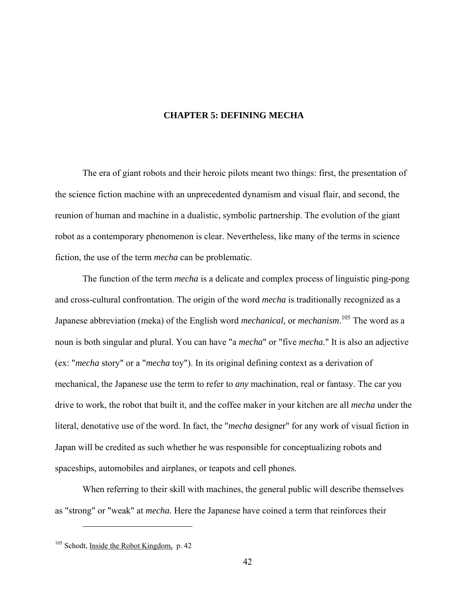#### **CHAPTER 5: DEFINING MECHA**

<span id="page-48-0"></span>The era of giant robots and their heroic pilots meant two things: first, the presentation of the science fiction machine with an unprecedented dynamism and visual flair, and second, the reunion of human and machine in a dualistic, symbolic partnership. The evolution of the giant robot as a contemporary phenomenon is clear. Nevertheless, like many of the terms in science fiction, the use of the term *mecha* can be problematic.

The function of the term *mecha* is a delicate and complex process of linguistic ping-pong and cross-cultural confrontation. The origin of the word *mecha* is traditionally recognized as a Japanese abbreviation (meka) of the English word *mechanical,* or *mechanism*. 105 The word as a noun is both singular and plural. You can have "a *mecha*" or "five *mecha*." It is also an adjective (ex: "*mecha* story" or a "*mecha* toy"). In its original defining context as a derivation of mechanical, the Japanese use the term to refer to *any* machination, real or fantasy. The car you drive to work, the robot that built it, and the coffee maker in your kitchen are all *mecha* under the literal, denotative use of the word. In fact, the "*mecha* designer" for any work of visual fiction in Japan will be credited as such whether he was responsible for conceptualizing robots and spaceships, automobiles and airplanes, or teapots and cell phones.

When referring to their skill with machines, the general public will describe themselves as "strong" or "weak" at *mecha.* Here the Japanese have coined a term that reinforces their

 $105$  Schodt, Inside the Robot Kingdom, p. 42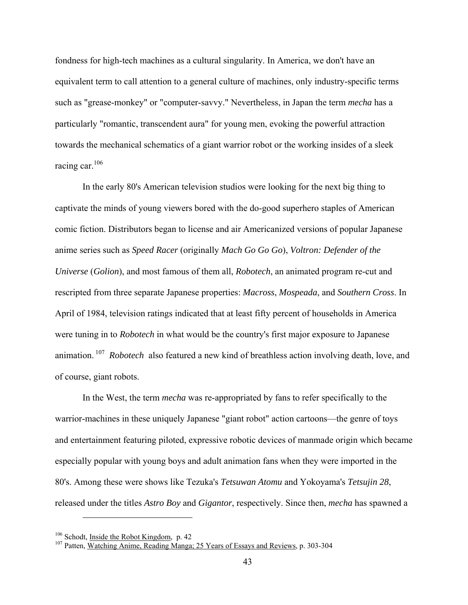fondness for high-tech machines as a cultural singularity. In America, we don't have an equivalent term to call attention to a general culture of machines, only industry-specific terms such as "grease-monkey" or "computer-savvy." Nevertheless, in Japan the term *mecha* has a particularly "romantic, transcendent aura" for young men, evoking the powerful attraction towards the mechanical schematics of a giant warrior robot or the working insides of a sleek racing car.<sup>106</sup>

In the early 80's American television studios were looking for the next big thing to captivate the minds of young viewers bored with the do-good superhero staples of American comic fiction. Distributors began to license and air Americanized versions of popular Japanese anime series such as *Speed Racer* (originally *Mach Go Go Go*), *Voltron: Defender of the Universe* (*Golion*), and most famous of them all, *Robotech*, an animated program re-cut and rescripted from three separate Japanese properties: *Macross*, *Mospeada*, and *Southern Cross*. In April of 1984, television ratings indicated that at least fifty percent of households in America were tuning in to *Robotech* in what would be the country's first major exposure to Japanese animation. 107 *Robotech* also featured a new kind of breathless action involving death, love, and of course, giant robots.

In the West, the term *mecha* was re-appropriated by fans to refer specifically to the warrior-machines in these uniquely Japanese "giant robot" action cartoons—the genre of toys and entertainment featuring piloted, expressive robotic devices of manmade origin which became especially popular with young boys and adult animation fans when they were imported in the 80's. Among these were shows like Tezuka's *Tetsuwan Atomu* and Yokoyama's *Tetsujin 28*, released under the titles *Astro Boy* and *Gigantor*, respectively. Since then, *mecha* has spawned a

<sup>&</sup>lt;sup>106</sup> Schodt, <u>Inside the Robot Kingdom</u>, p. 42<br><sup>107</sup> Patten, Watching A<u>nime, Reading Manga; 25 Years of Essays and Reviews</u>, p. 303-304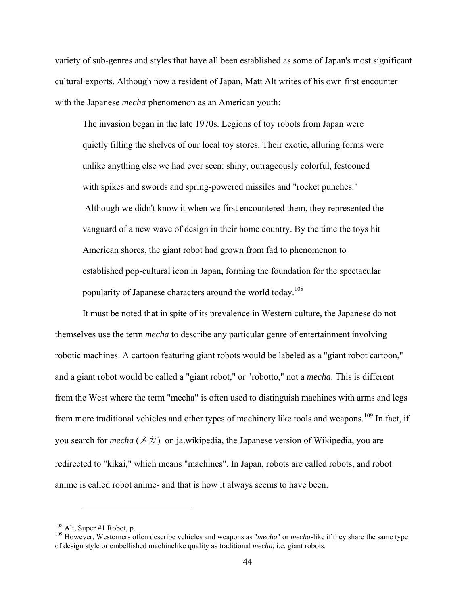variety of sub-genres and styles that have all been established as some of Japan's most significant cultural exports. Although now a resident of Japan, Matt Alt writes of his own first encounter with the Japanese *mecha* phenomenon as an American youth:

The invasion began in the late 1970s. Legions of toy robots from Japan were quietly filling the shelves of our local toy stores. Their exotic, alluring forms were unlike anything else we had ever seen: shiny, outrageously colorful, festooned with spikes and swords and spring-powered missiles and "rocket punches." Although we didn't know it when we first encountered them, they represented the vanguard of a new wave of design in their home country. By the time the toys hit American shores, the giant robot had grown from fad to phenomenon to established pop-cultural icon in Japan, forming the foundation for the spectacular popularity of Japanese characters around the world today.<sup>108</sup>

It must be noted that in spite of its prevalence in Western culture, the Japanese do not themselves use the term *mecha* to describe any particular genre of entertainment involving robotic machines. A cartoon featuring giant robots would be labeled as a "giant robot cartoon," and a giant robot would be called a "giant robot," or "robotto," not a *mecha*. This is different from the West where the term "mecha" is often used to distinguish machines with arms and legs from more traditional vehicles and other types of machinery like tools and weapons.<sup>109</sup> In fact, if you search for *mecha* ( $\times$   $\pi$ ) on ja.wikipedia, the Japanese version of Wikipedia, you are redirected to "kikai," which means "machines". In Japan, robots are called robots, and robot anime is called robot anime- and that is how it always seems to have been.

<sup>&</sup>lt;sup>108</sup> Alt, <u>Super #1 Robot</u>, p.<br><sup>109</sup> However, Westerners often describe vehicles and weapons as "*mecha*" or *mecha*-like if they share the same type of design style or embellished machinelike quality as traditional *mecha,* i.e*.* giant robots.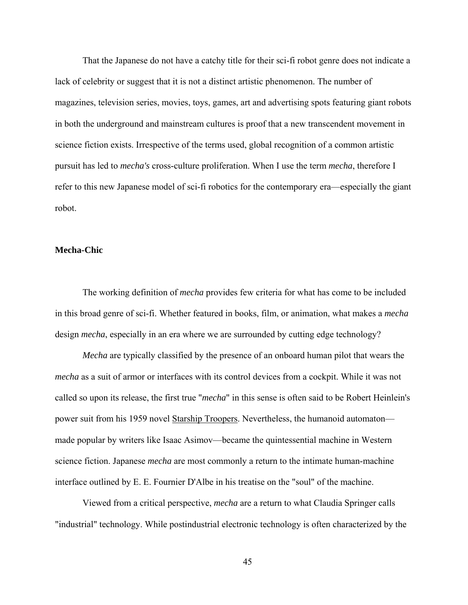That the Japanese do not have a catchy title for their sci-fi robot genre does not indicate a lack of celebrity or suggest that it is not a distinct artistic phenomenon. The number of magazines, television series, movies, toys, games, art and advertising spots featuring giant robots in both the underground and mainstream cultures is proof that a new transcendent movement in science fiction exists. Irrespective of the terms used, global recognition of a common artistic pursuit has led to *mecha's* cross-culture proliferation. When I use the term *mecha*, therefore I refer to this new Japanese model of sci-fi robotics for the contemporary era—especially the giant robot.

#### **Mecha-Chic**

The working definition of *mecha* provides few criteria for what has come to be included in this broad genre of sci-fi. Whether featured in books, film, or animation, what makes a *mecha* design *mecha*, especially in an era where we are surrounded by cutting edge technology?

*Mecha* are typically classified by the presence of an onboard human pilot that wears the *mecha* as a suit of armor or interfaces with its control devices from a cockpit. While it was not called so upon its release, the first true "*mecha*" in this sense is often said to be Robert Heinlein's power suit from his 1959 novel Starship Troopers. Nevertheless, the humanoid automaton made popular by writers like Isaac Asimov—became the quintessential machine in Western science fiction. Japanese *mecha* are most commonly a return to the intimate human-machine interface outlined by E. E. Fournier D'Albe in his treatise on the "soul" of the machine.

Viewed from a critical perspective, *mecha* are a return to what Claudia Springer calls "industrial" technology. While postindustrial electronic technology is often characterized by the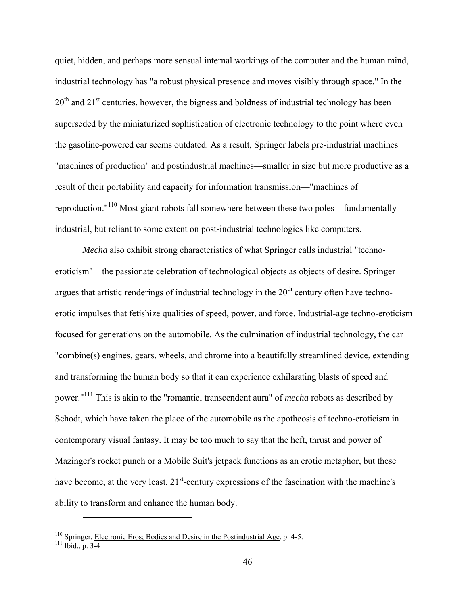quiet, hidden, and perhaps more sensual internal workings of the computer and the human mind, industrial technology has "a robust physical presence and moves visibly through space." In the  $20<sup>th</sup>$  and  $21<sup>st</sup>$  centuries, however, the bigness and boldness of industrial technology has been superseded by the miniaturized sophistication of electronic technology to the point where even the gasoline-powered car seems outdated. As a result, Springer labels pre-industrial machines "machines of production" and postindustrial machines—smaller in size but more productive as a result of their portability and capacity for information transmission—"machines of reproduction."110 Most giant robots fall somewhere between these two poles—fundamentally industrial, but reliant to some extent on post-industrial technologies like computers.

*Mecha* also exhibit strong characteristics of what Springer calls industrial "technoeroticism"—the passionate celebration of technological objects as objects of desire. Springer argues that artistic renderings of industrial technology in the  $20<sup>th</sup>$  century often have technoerotic impulses that fetishize qualities of speed, power, and force. Industrial-age techno-eroticism focused for generations on the automobile. As the culmination of industrial technology, the car "combine(s) engines, gears, wheels, and chrome into a beautifully streamlined device, extending and transforming the human body so that it can experience exhilarating blasts of speed and power."111 This is akin to the "romantic, transcendent aura" of *mecha* robots as described by Schodt, which have taken the place of the automobile as the apotheosis of techno-eroticism in contemporary visual fantasy. It may be too much to say that the heft, thrust and power of Mazinger's rocket punch or a Mobile Suit's jetpack functions as an erotic metaphor, but these have become, at the very least,  $21<sup>st</sup>$ -century expressions of the fascination with the machine's ability to transform and enhance the human body.

<sup>&</sup>lt;sup>110</sup> Springer, <u>Electronic Eros; Bodies and Desire in the Postindustrial Age</u>. p. 4-5.<br><sup>111</sup> Ibid., p. 3-4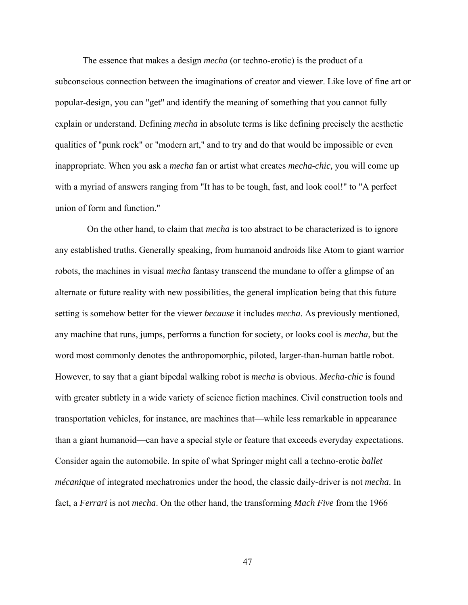The essence that makes a design *mecha* (or techno-erotic) is the product of a subconscious connection between the imaginations of creator and viewer. Like love of fine art or popular-design, you can "get" and identify the meaning of something that you cannot fully explain or understand. Defining *mecha* in absolute terms is like defining precisely the aesthetic qualities of "punk rock" or "modern art," and to try and do that would be impossible or even inappropriate. When you ask a *mecha* fan or artist what creates *mecha-chic,* you will come up with a myriad of answers ranging from "It has to be tough, fast, and look cool!" to "A perfect union of form and function."

 On the other hand, to claim that *mecha* is too abstract to be characterized is to ignore any established truths. Generally speaking, from humanoid androids like Atom to giant warrior robots, the machines in visual *mecha* fantasy transcend the mundane to offer a glimpse of an alternate or future reality with new possibilities, the general implication being that this future setting is somehow better for the viewer *because* it includes *mecha*. As previously mentioned, any machine that runs, jumps, performs a function for society, or looks cool is *mecha*, but the word most commonly denotes the anthropomorphic, piloted, larger-than-human battle robot. However, to say that a giant bipedal walking robot is *mecha* is obvious. *Mecha-chic* is found with greater subtlety in a wide variety of science fiction machines. Civil construction tools and transportation vehicles, for instance, are machines that—while less remarkable in appearance than a giant humanoid—can have a special style or feature that exceeds everyday expectations. Consider again the automobile. In spite of what Springer might call a techno-erotic *ballet mécanique* of integrated mechatronics under the hood, the classic daily-driver is not *mecha*. In fact, a *Ferrari* is not *mecha*. On the other hand, the transforming *Mach Five* from the 1966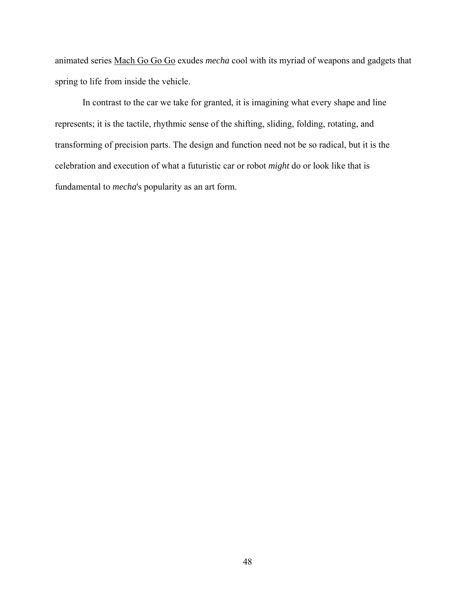animated series Mach Go Go Go exudes *mecha* cool with its myriad of weapons and gadgets that spring to life from inside the vehicle.

In contrast to the car we take for granted, it is imagining what every shape and line represents; it is the tactile, rhythmic sense of the shifting, sliding, folding, rotating, and transforming of precision parts. The design and function need not be so radical, but it is the celebration and execution of what a futuristic car or robot *might* do or look like that is fundamental to *mecha*'s popularity as an art form.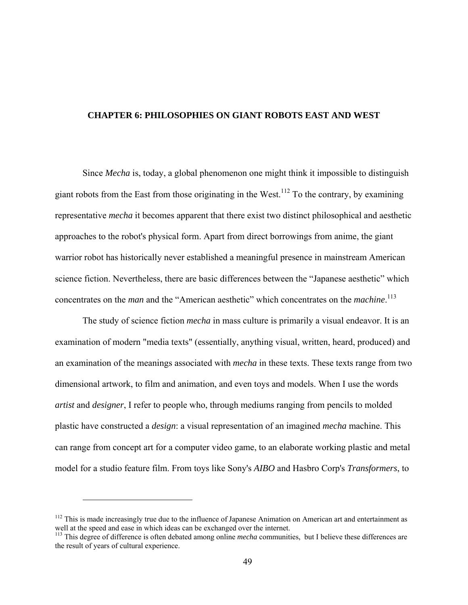#### <span id="page-55-0"></span>**CHAPTER 6: PHILOSOPHIES ON GIANT ROBOTS EAST AND WEST**

Since *Mecha* is, today, a global phenomenon one might think it impossible to distinguish giant robots from the East from those originating in the West.<sup>112</sup> To the contrary, by examining representative *mecha* it becomes apparent that there exist two distinct philosophical and aesthetic approaches to the robot's physical form. Apart from direct borrowings from anime, the giant warrior robot has historically never established a meaningful presence in mainstream American science fiction. Nevertheless, there are basic differences between the "Japanese aesthetic" which concentrates on the *man* and the "American aesthetic" which concentrates on the *machine*. 113

The study of science fiction *mecha* in mass culture is primarily a visual endeavor. It is an examination of modern "media texts" (essentially, anything visual, written, heard, produced) and an examination of the meanings associated with *mecha* in these texts. These texts range from two dimensional artwork, to film and animation, and even toys and models. When I use the words *artist* and *designer*, I refer to people who, through mediums ranging from pencils to molded plastic have constructed a *design*: a visual representation of an imagined *mecha* machine. This can range from concept art for a computer video game, to an elaborate working plastic and metal model for a studio feature film. From toys like Sony's *AIBO* and Hasbro Corp's *Transformers*, to

 $112$  This is made increasingly true due to the influence of Japanese Animation on American art and entertainment as well at the speed and ease in which ideas can be exchanged over the internet.

<sup>&</sup>lt;sup>113</sup> This degree of difference is often debated among online *mecha* communities, but I believe these differences are the result of years of cultural experience.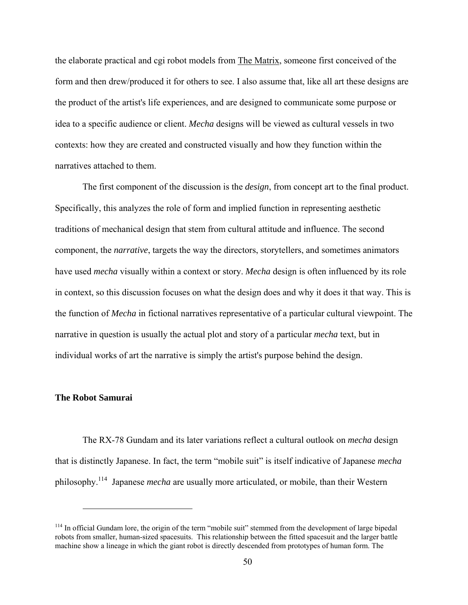the elaborate practical and cgi robot models from The Matrix, someone first conceived of the form and then drew/produced it for others to see. I also assume that, like all art these designs are the product of the artist's life experiences, and are designed to communicate some purpose or idea to a specific audience or client. *Mecha* designs will be viewed as cultural vessels in two contexts: how they are created and constructed visually and how they function within the narratives attached to them.

The first component of the discussion is the *design*, from concept art to the final product. Specifically, this analyzes the role of form and implied function in representing aesthetic traditions of mechanical design that stem from cultural attitude and influence. The second component, the *narrative*, targets the way the directors, storytellers, and sometimes animators have used *mecha* visually within a context or story. *Mecha* design is often influenced by its role in context, so this discussion focuses on what the design does and why it does it that way. This is the function of *Mecha* in fictional narratives representative of a particular cultural viewpoint. The narrative in question is usually the actual plot and story of a particular *mecha* text, but in individual works of art the narrative is simply the artist's purpose behind the design.

#### **The Robot Samurai**

 $\overline{a}$ 

The RX-78 Gundam and its later variations reflect a cultural outlook on *mecha* design that is distinctly Japanese. In fact, the term "mobile suit" is itself indicative of Japanese *mecha* philosophy.114 Japanese *mecha* are usually more articulated, or mobile, than their Western

<sup>&</sup>lt;sup>114</sup> In official Gundam lore, the origin of the term "mobile suit" stemmed from the development of large bipedal robots from smaller, human-sized spacesuits. This relationship between the fitted spacesuit and the larger battle machine show a lineage in which the giant robot is directly descended from prototypes of human form. The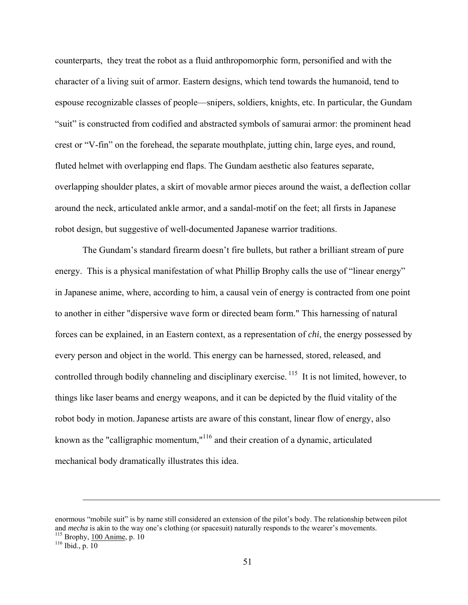counterparts, they treat the robot as a fluid anthropomorphic form, personified and with the character of a living suit of armor. Eastern designs, which tend towards the humanoid, tend to espouse recognizable classes of people—snipers, soldiers, knights, etc. In particular, the Gundam "suit" is constructed from codified and abstracted symbols of samurai armor: the prominent head crest or "V-fin" on the forehead, the separate mouthplate, jutting chin, large eyes, and round, fluted helmet with overlapping end flaps. The Gundam aesthetic also features separate, overlapping shoulder plates, a skirt of movable armor pieces around the waist, a deflection collar around the neck, articulated ankle armor, and a sandal-motif on the feet; all firsts in Japanese robot design, but suggestive of well-documented Japanese warrior traditions.

The Gundam's standard firearm doesn't fire bullets, but rather a brilliant stream of pure energy. This is a physical manifestation of what Phillip Brophy calls the use of "linear energy" in Japanese anime, where, according to him, a causal vein of energy is contracted from one point to another in either "dispersive wave form or directed beam form." This harnessing of natural forces can be explained, in an Eastern context, as a representation of *chi*, the energy possessed by every person and object in the world. This energy can be harnessed, stored, released, and controlled through bodily channeling and disciplinary exercise. <sup>115</sup> It is not limited, however, to things like laser beams and energy weapons, and it can be depicted by the fluid vitality of the robot body in motion. Japanese artists are aware of this constant, linear flow of energy, also known as the "calligraphic momentum,"116 and their creation of a dynamic, articulated mechanical body dramatically illustrates this idea.

enormous "mobile suit" is by name still considered an extension of the pilot's body. The relationship between pilot and *mecha* is akin to the way one's clothing (or spacesuit) naturally responds to the wearer's movements.<br><sup>115</sup> Brophy, <u>100 Anime</u>, p. 10<br><sup>116</sup> Ibid., p. 10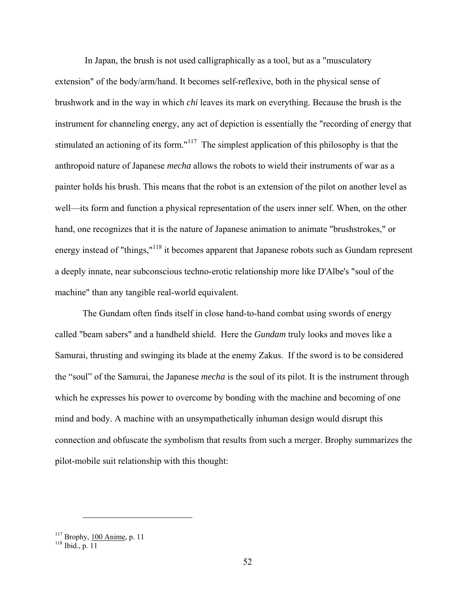In Japan, the brush is not used calligraphically as a tool, but as a "musculatory extension" of the body/arm/hand. It becomes self-reflexive, both in the physical sense of brushwork and in the way in which *chi* leaves its mark on everything. Because the brush is the instrument for channeling energy, any act of depiction is essentially the "recording of energy that stimulated an actioning of its form."<sup>117</sup> The simplest application of this philosophy is that the anthropoid nature of Japanese *mecha* allows the robots to wield their instruments of war as a painter holds his brush. This means that the robot is an extension of the pilot on another level as well—its form and function a physical representation of the users inner self. When, on the other hand, one recognizes that it is the nature of Japanese animation to animate "brushstrokes," or energy instead of "things,"<sup>118</sup> it becomes apparent that Japanese robots such as Gundam represent a deeply innate, near subconscious techno-erotic relationship more like D'Albe's "soul of the machine" than any tangible real-world equivalent.

The Gundam often finds itself in close hand-to-hand combat using swords of energy called "beam sabers" and a handheld shield. Here the *Gundam* truly looks and moves like a Samurai, thrusting and swinging its blade at the enemy Zakus. If the sword is to be considered the "soul" of the Samurai, the Japanese *mecha* is the soul of its pilot. It is the instrument through which he expresses his power to overcome by bonding with the machine and becoming of one mind and body. A machine with an unsympathetically inhuman design would disrupt this connection and obfuscate the symbolism that results from such a merger. Brophy summarizes the pilot-mobile suit relationship with this thought:

 $117 \text{ Brophy}, \frac{100 \text{ Anime}}{118}$  p. 11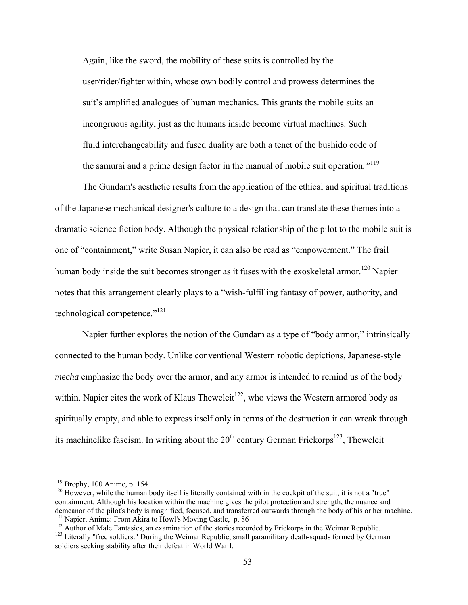Again, like the sword, the mobility of these suits is controlled by the user/rider/fighter within, whose own bodily control and prowess determines the suit's amplified analogues of human mechanics. This grants the mobile suits an incongruous agility, just as the humans inside become virtual machines. Such fluid interchangeability and fused duality are both a tenet of the bushido code of the samurai and a prime design factor in the manual of mobile suit operation*."*<sup>119</sup>

The Gundam's aesthetic results from the application of the ethical and spiritual traditions of the Japanese mechanical designer's culture to a design that can translate these themes into a dramatic science fiction body. Although the physical relationship of the pilot to the mobile suit is one of "containment," write Susan Napier, it can also be read as "empowerment." The frail human body inside the suit becomes stronger as it fuses with the exoskeletal armor.<sup>120</sup> Napier notes that this arrangement clearly plays to a "wish-fulfilling fantasy of power, authority, and technological competence."121

Napier further explores the notion of the Gundam as a type of "body armor," intrinsically connected to the human body. Unlike conventional Western robotic depictions, Japanese-style *mecha* emphasize the body over the armor, and any armor is intended to remind us of the body within. Napier cites the work of Klaus Theweleit<sup>122</sup>, who views the Western armored body as spiritually empty, and able to express itself only in terms of the destruction it can wreak through its machinelike fascism. In writing about the  $20<sup>th</sup>$  century German Friekorps<sup>123</sup>, Theweleit

<sup>&</sup>lt;sup>119</sup> Brophy, <u>100 Anime</u>, p. 154<br><sup>120</sup> However, while the human body itself is literally contained with in the cockpit of the suit, it is not a "true" containment. Although his location within the machine gives the pilot protection and strength, the nuance and demeanor of the pilot's body is magnified, focused, and transferred outwards through the body of his or her machine.<br><sup>121</sup> Napier, Anime: From Akira to Howl's Moving Castle, p. 86

 $\frac{122}{122}$  Author of <u>Male Fantasies</u>, an examination of the stories recorded by Friekorps in the Weimar Republic.<br><sup>123</sup> Literally "free soldiers." During the Weimar Republic, small paramilitary death-squads formed by

soldiers seeking stability after their defeat in World War I.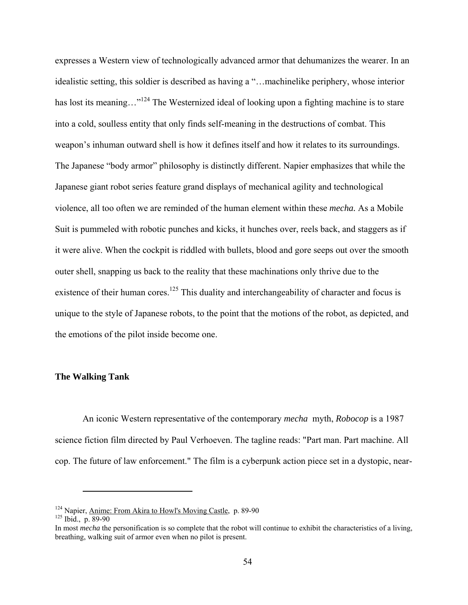expresses a Western view of technologically advanced armor that dehumanizes the wearer. In an idealistic setting, this soldier is described as having a "…machinelike periphery, whose interior has lost its meaning..."<sup>124</sup> The Westernized ideal of looking upon a fighting machine is to stare into a cold, soulless entity that only finds self-meaning in the destructions of combat. This weapon's inhuman outward shell is how it defines itself and how it relates to its surroundings. The Japanese "body armor" philosophy is distinctly different. Napier emphasizes that while the Japanese giant robot series feature grand displays of mechanical agility and technological violence, all too often we are reminded of the human element within these *mecha.* As a Mobile Suit is pummeled with robotic punches and kicks, it hunches over, reels back, and staggers as if it were alive. When the cockpit is riddled with bullets, blood and gore seeps out over the smooth outer shell, snapping us back to the reality that these machinations only thrive due to the existence of their human cores.<sup>125</sup> This duality and interchangeability of character and focus is unique to the style of Japanese robots, to the point that the motions of the robot, as depicted, and the emotions of the pilot inside become one.

#### **The Walking Tank**

An iconic Western representative of the contemporary *mecha* myth, *Robocop* is a 1987 science fiction film directed by Paul Verhoeven. The tagline reads: "Part man. Part machine. All cop. The future of law enforcement." The film is a cyberpunk action piece set in a dystopic, near-

<sup>&</sup>lt;sup>124</sup> Napier, <u>Anime: From Akira to Howl's Moving Castle</u>, p. 89-90 <sup>125</sup> Ibid., p. 89-90

In most *mecha* the personification is so complete that the robot will continue to exhibit the characteristics of a living, breathing, walking suit of armor even when no pilot is present.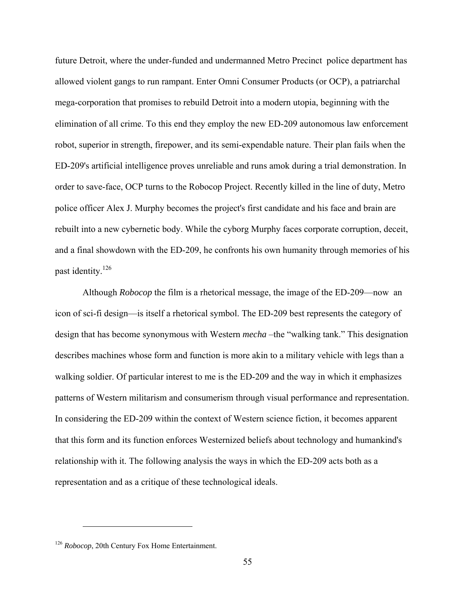future Detroit, where the under-funded and undermanned Metro Precinct police department has allowed violent gangs to run rampant. Enter Omni Consumer Products (or OCP), a patriarchal mega-corporation that promises to rebuild Detroit into a modern utopia, beginning with the elimination of all crime. To this end they employ the new ED-209 autonomous law enforcement robot, superior in strength, firepower, and its semi-expendable nature. Their plan fails when the ED-209's artificial intelligence proves unreliable and runs amok during a trial demonstration. In order to save-face, OCP turns to the Robocop Project. Recently killed in the line of duty, Metro police officer Alex J. Murphy becomes the project's first candidate and his face and brain are rebuilt into a new cybernetic body. While the cyborg Murphy faces corporate corruption, deceit, and a final showdown with the ED-209, he confronts his own humanity through memories of his past identity.126

Although *Robocop* the film is a rhetorical message, the image of the ED-209—now an icon of sci-fi design—is itself a rhetorical symbol. The ED-209 best represents the category of design that has become synonymous with Western *mecha* –the "walking tank." This designation describes machines whose form and function is more akin to a military vehicle with legs than a walking soldier. Of particular interest to me is the ED-209 and the way in which it emphasizes patterns of Western militarism and consumerism through visual performance and representation. In considering the ED-209 within the context of Western science fiction, it becomes apparent that this form and its function enforces Westernized beliefs about technology and humankind's relationship with it. The following analysis the ways in which the ED-209 acts both as a representation and as a critique of these technological ideals.

<sup>126</sup> *Robocop*, 20th Century Fox Home Entertainment.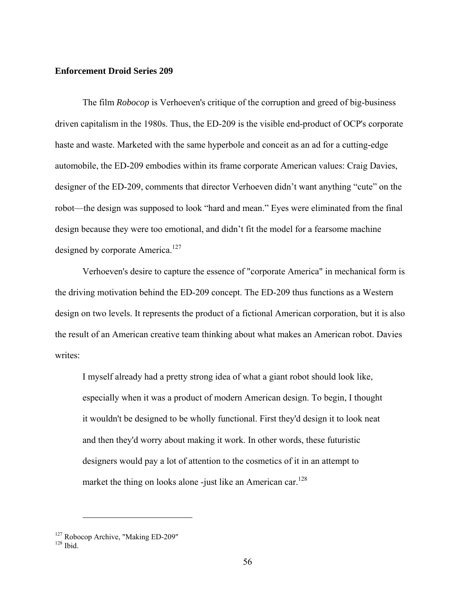#### **Enforcement Droid Series 209**

 The film *Robocop* is Verhoeven's critique of the corruption and greed of big-business driven capitalism in the 1980s. Thus, the ED-209 is the visible end-product of OCP's corporate haste and waste. Marketed with the same hyperbole and conceit as an ad for a cutting-edge automobile, the ED-209 embodies within its frame corporate American values: Craig Davies, designer of the ED-209, comments that director Verhoeven didn't want anything "cute" on the robot—the design was supposed to look "hard and mean." Eyes were eliminated from the final design because they were too emotional, and didn't fit the model for a fearsome machine designed by corporate America.<sup>127</sup>

Verhoeven's desire to capture the essence of "corporate America" in mechanical form is the driving motivation behind the ED-209 concept. The ED-209 thus functions as a Western design on two levels. It represents the product of a fictional American corporation, but it is also the result of an American creative team thinking about what makes an American robot. Davies writes:

I myself already had a pretty strong idea of what a giant robot should look like, especially when it was a product of modern American design. To begin, I thought it wouldn't be designed to be wholly functional. First they'd design it to look neat and then they'd worry about making it work. In other words, these futuristic designers would pay a lot of attention to the cosmetics of it in an attempt to market the thing on looks alone -just like an American car.<sup>128</sup>

 $^{127}$  Robocop Archive, "Making ED-209"  $^{128}$ Ibid.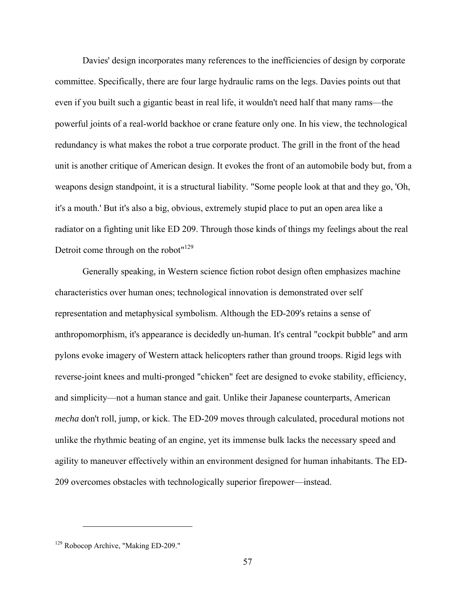Davies' design incorporates many references to the inefficiencies of design by corporate committee. Specifically, there are four large hydraulic rams on the legs. Davies points out that even if you built such a gigantic beast in real life, it wouldn't need half that many rams—the powerful joints of a real-world backhoe or crane feature only one. In his view, the technological redundancy is what makes the robot a true corporate product. The grill in the front of the head unit is another critique of American design. It evokes the front of an automobile body but, from a weapons design standpoint, it is a structural liability. "Some people look at that and they go, 'Oh, it's a mouth.' But it's also a big, obvious, extremely stupid place to put an open area like a radiator on a fighting unit like ED 209. Through those kinds of things my feelings about the real Detroit come through on the robot"<sup>129</sup>

Generally speaking, in Western science fiction robot design often emphasizes machine characteristics over human ones; technological innovation is demonstrated over self representation and metaphysical symbolism. Although the ED-209's retains a sense of anthropomorphism, it's appearance is decidedly un-human. It's central "cockpit bubble" and arm pylons evoke imagery of Western attack helicopters rather than ground troops. Rigid legs with reverse-joint knees and multi-pronged "chicken" feet are designed to evoke stability, efficiency, and simplicity—not a human stance and gait. Unlike their Japanese counterparts, American *mecha* don't roll, jump, or kick. The ED-209 moves through calculated, procedural motions not unlike the rhythmic beating of an engine, yet its immense bulk lacks the necessary speed and agility to maneuver effectively within an environment designed for human inhabitants. The ED-209 overcomes obstacles with technologically superior firepower—instead.

<sup>129</sup> Robocop Archive, "Making ED-209."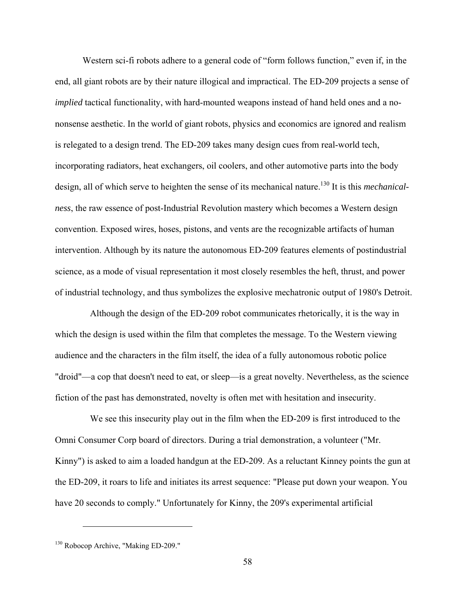Western sci-fi robots adhere to a general code of "form follows function," even if, in the end, all giant robots are by their nature illogical and impractical. The ED-209 projects a sense of *implied* tactical functionality, with hard-mounted weapons instead of hand held ones and a nononsense aesthetic. In the world of giant robots, physics and economics are ignored and realism is relegated to a design trend. The ED-209 takes many design cues from real-world tech, incorporating radiators, heat exchangers, oil coolers, and other automotive parts into the body design, all of which serve to heighten the sense of its mechanical nature.<sup>130</sup> It is this *mechanicalness*, the raw essence of post-Industrial Revolution mastery which becomes a Western design convention. Exposed wires, hoses, pistons, and vents are the recognizable artifacts of human intervention. Although by its nature the autonomous ED-209 features elements of postindustrial science, as a mode of visual representation it most closely resembles the heft, thrust, and power of industrial technology, and thus symbolizes the explosive mechatronic output of 1980's Detroit.

Although the design of the ED-209 robot communicates rhetorically, it is the way in which the design is used within the film that completes the message. To the Western viewing audience and the characters in the film itself, the idea of a fully autonomous robotic police "droid"—a cop that doesn't need to eat, or sleep—is a great novelty. Nevertheless, as the science fiction of the past has demonstrated, novelty is often met with hesitation and insecurity.

 We see this insecurity play out in the film when the ED-209 is first introduced to the Omni Consumer Corp board of directors. During a trial demonstration, a volunteer ("Mr. Kinny") is asked to aim a loaded handgun at the ED-209. As a reluctant Kinney points the gun at the ED-209, it roars to life and initiates its arrest sequence: "Please put down your weapon. You have 20 seconds to comply." Unfortunately for Kinny, the 209's experimental artificial

<sup>130</sup> Robocop Archive, "Making ED-209."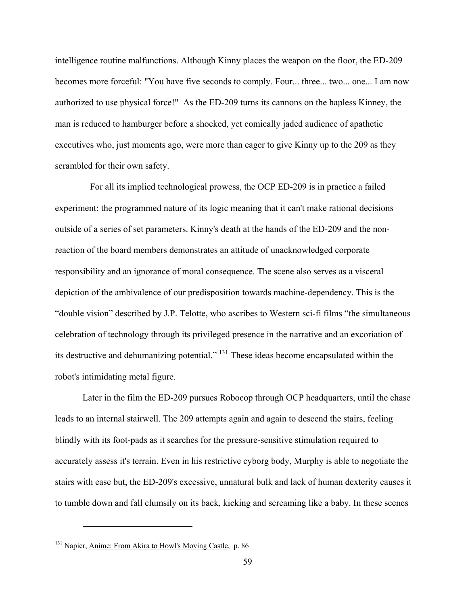intelligence routine malfunctions. Although Kinny places the weapon on the floor, the ED-209 becomes more forceful: "You have five seconds to comply. Four... three... two... one... I am now authorized to use physical force!" As the ED-209 turns its cannons on the hapless Kinney, the man is reduced to hamburger before a shocked, yet comically jaded audience of apathetic executives who, just moments ago, were more than eager to give Kinny up to the 209 as they scrambled for their own safety.

 For all its implied technological prowess, the OCP ED-209 is in practice a failed experiment: the programmed nature of its logic meaning that it can't make rational decisions outside of a series of set parameters. Kinny's death at the hands of the ED-209 and the nonreaction of the board members demonstrates an attitude of unacknowledged corporate responsibility and an ignorance of moral consequence. The scene also serves as a visceral depiction of the ambivalence of our predisposition towards machine-dependency. This is the "double vision" described by J.P. Telotte, who ascribes to Western sci-fi films "the simultaneous celebration of technology through its privileged presence in the narrative and an excoriation of its destructive and dehumanizing potential." 131 These ideas become encapsulated within the robot's intimidating metal figure.

Later in the film the ED-209 pursues Robocop through OCP headquarters, until the chase leads to an internal stairwell. The 209 attempts again and again to descend the stairs, feeling blindly with its foot-pads as it searches for the pressure-sensitive stimulation required to accurately assess it's terrain. Even in his restrictive cyborg body, Murphy is able to negotiate the stairs with ease but, the ED-209's excessive, unnatural bulk and lack of human dexterity causes it to tumble down and fall clumsily on its back, kicking and screaming like a baby. In these scenes

<sup>&</sup>lt;sup>131</sup> Napier, Anime: From Akira to Howl's Moving Castle, p. 86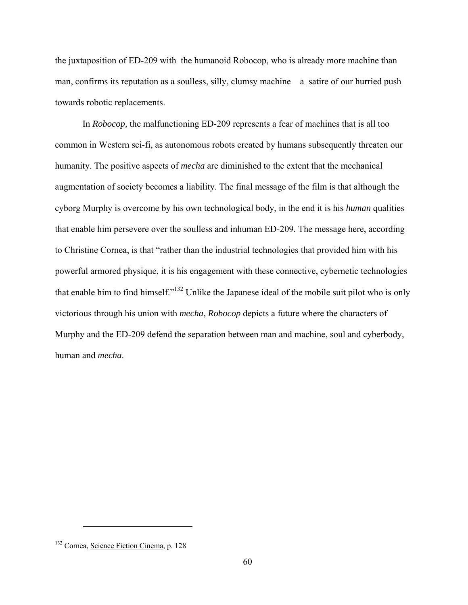the juxtaposition of ED-209 with the humanoid Robocop, who is already more machine than man, confirms its reputation as a soulless, silly, clumsy machine—a satire of our hurried push towards robotic replacements.

In *Robocop,* the malfunctioning ED-209 represents a fear of machines that is all too common in Western sci-fi, as autonomous robots created by humans subsequently threaten our humanity. The positive aspects of *mecha* are diminished to the extent that the mechanical augmentation of society becomes a liability. The final message of the film is that although the cyborg Murphy is overcome by his own technological body, in the end it is his *human* qualities that enable him persevere over the soulless and inhuman ED-209. The message here, according to Christine Cornea, is that "rather than the industrial technologies that provided him with his powerful armored physique, it is his engagement with these connective, cybernetic technologies that enable him to find himself."132 Unlike the Japanese ideal of the mobile suit pilot who is only victorious through his union with *mecha*, *Robocop* depicts a future where the characters of Murphy and the ED-209 defend the separation between man and machine, soul and cyberbody, human and *mecha*.

<sup>132</sup> Cornea, Science Fiction Cinema, p. 128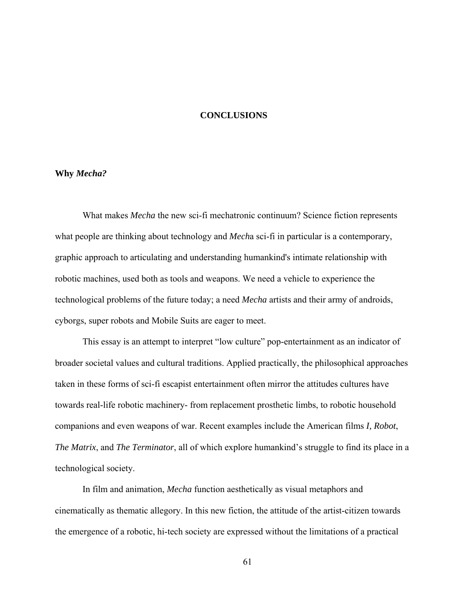#### **CONCLUSIONS**

#### <span id="page-67-0"></span>**Why** *Mecha?*

What makes *Mecha* the new sci-fi mechatronic continuum? Science fiction represents what people are thinking about technology and *Mech*a sci-fi in particular is a contemporary, graphic approach to articulating and understanding humankind's intimate relationship with robotic machines, used both as tools and weapons. We need a vehicle to experience the technological problems of the future today; a need *Mecha* artists and their army of androids, cyborgs, super robots and Mobile Suits are eager to meet.

This essay is an attempt to interpret "low culture" pop-entertainment as an indicator of broader societal values and cultural traditions. Applied practically, the philosophical approaches taken in these forms of sci-fi escapist entertainment often mirror the attitudes cultures have towards real-life robotic machinery- from replacement prosthetic limbs, to robotic household companions and even weapons of war. Recent examples include the American films *I, Robot*, *The Matrix*, and *The Terminator*, all of which explore humankind's struggle to find its place in a technological society.

In film and animation, *Mecha* function aesthetically as visual metaphors and cinematically as thematic allegory. In this new fiction, the attitude of the artist-citizen towards the emergence of a robotic, hi-tech society are expressed without the limitations of a practical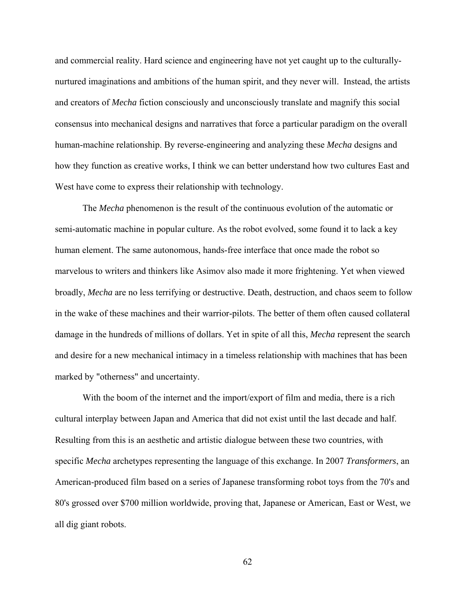and commercial reality. Hard science and engineering have not yet caught up to the culturallynurtured imaginations and ambitions of the human spirit, and they never will. Instead, the artists and creators of *Mecha* fiction consciously and unconsciously translate and magnify this social consensus into mechanical designs and narratives that force a particular paradigm on the overall human-machine relationship. By reverse-engineering and analyzing these *Mecha* designs and how they function as creative works, I think we can better understand how two cultures East and West have come to express their relationship with technology.

The *Mecha* phenomenon is the result of the continuous evolution of the automatic or semi-automatic machine in popular culture. As the robot evolved, some found it to lack a key human element. The same autonomous, hands-free interface that once made the robot so marvelous to writers and thinkers like Asimov also made it more frightening. Yet when viewed broadly, *Mecha* are no less terrifying or destructive. Death, destruction, and chaos seem to follow in the wake of these machines and their warrior-pilots. The better of them often caused collateral damage in the hundreds of millions of dollars. Yet in spite of all this, *Mecha* represent the search and desire for a new mechanical intimacy in a timeless relationship with machines that has been marked by "otherness" and uncertainty.

With the boom of the internet and the import/export of film and media, there is a rich cultural interplay between Japan and America that did not exist until the last decade and half. Resulting from this is an aesthetic and artistic dialogue between these two countries, with specific *Mecha* archetypes representing the language of this exchange. In 2007 *Transformers*, an American-produced film based on a series of Japanese transforming robot toys from the 70's and 80's grossed over \$700 million worldwide, proving that, Japanese or American, East or West, we all dig giant robots.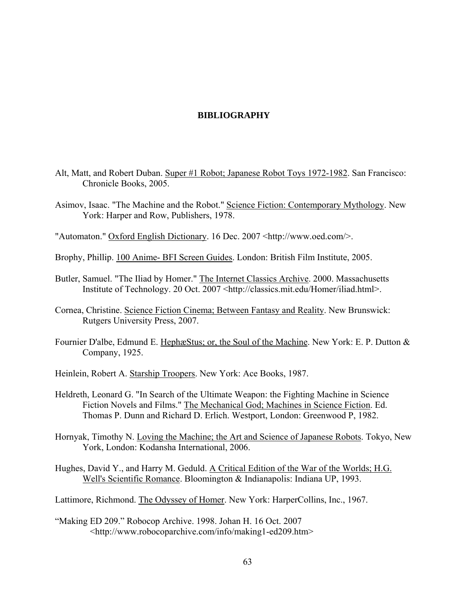#### **BIBLIOGRAPHY**

- <span id="page-69-0"></span>Alt, Matt, and Robert Duban. Super #1 Robot; Japanese Robot Toys 1972-1982. San Francisco: Chronicle Books, 2005.
- Asimov, Isaac. "The Machine and the Robot." Science Fiction: Contemporary Mythology. New York: Harper and Row, Publishers, 1978.
- "Automaton." Oxford English Dictionary. 16 Dec. 2007 <http://www.oed.com/>.
- Brophy, Phillip. 100 Anime- BFI Screen Guides. London: British Film Institute, 2005.
- Butler, Samuel. "The Iliad by Homer." The Internet Classics Archive. 2000. Massachusetts Institute of Technology. 20 Oct. 2007 <http://classics.mit.edu/Homer/iliad.html>.
- Cornea, Christine. Science Fiction Cinema; Between Fantasy and Reality. New Brunswick: Rutgers University Press, 2007.
- Fournier D'albe, Edmund E. HephæStus; or, the Soul of the Machine. New York: E. P. Dutton & Company, 1925.
- Heinlein, Robert A. Starship Troopers. New York: Ace Books, 1987.
- Heldreth, Leonard G. "In Search of the Ultimate Weapon: the Fighting Machine in Science Fiction Novels and Films." The Mechanical God; Machines in Science Fiction. Ed. Thomas P. Dunn and Richard D. Erlich. Westport, London: Greenwood P, 1982.
- Hornyak, Timothy N. Loving the Machine; the Art and Science of Japanese Robots. Tokyo, New York, London: Kodansha International, 2006.
- Hughes, David Y., and Harry M. Geduld. A Critical Edition of the War of the Worlds; H.G. Well's Scientific Romance. Bloomington & Indianapolis: Indiana UP, 1993.
- Lattimore, Richmond. The Odyssey of Homer. New York: HarperCollins, Inc., 1967.
- "Making ED 209." Robocop Archive. 1998. Johan H. 16 Oct. 2007 <http://www.robocoparchive.com/info/making1-ed209.htm>